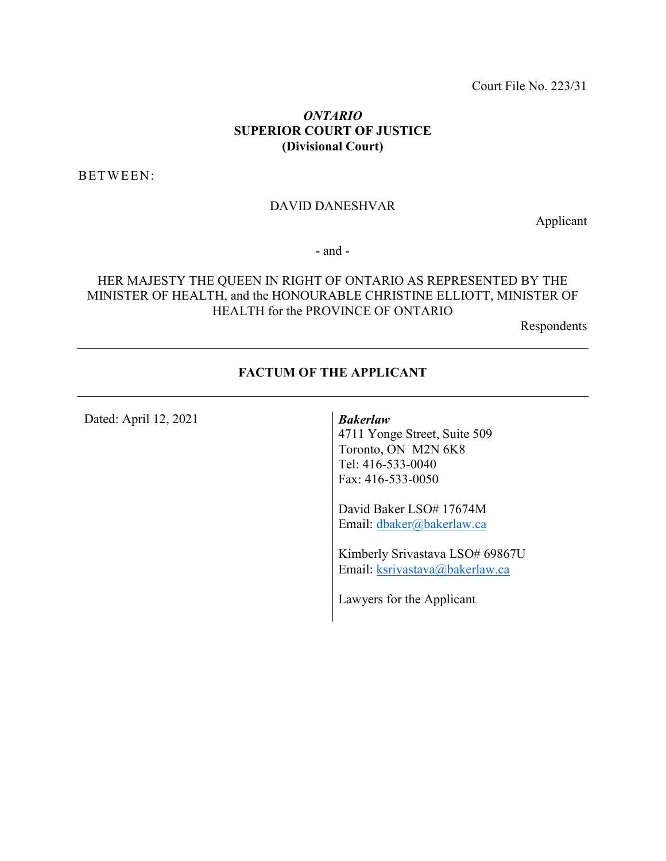Court File No. 223/31

#### *ONTARIO* **SUPERIOR COURT OF JUSTICE (Divisional Court)**

BETWEEN:

#### DAVID DANESHVAR

Applicant

- and -

#### HER MAJESTY THE QUEEN IN RIGHT OF ONTARIO AS REPRESENTED BY THE MINISTER OF HEALTH, and the HONOURABLE CHRISTINE ELLIOTT, MINISTER OF HEALTH for the PROVINCE OF ONTARIO

Respondents

#### **FACTUM OF THE APPLICANT**

Dated: April 12, 2021 *Bakerlaw*

4711 Yonge Street, Suite 509 Toronto, ON M2N 6K8 Tel: 416-533-0040 Fax: 416-533-0050

David Baker LSO# 17674M Email: [dbaker@bakerlaw.ca](mailto:dbaker@bakerlaw.ca) 

Kimberly Srivastava LSO# 69867U Email: [ksrivastava@bakerlaw.ca](mailto:ksrivastava@bakerlaw.ca)

Lawyers for the Applicant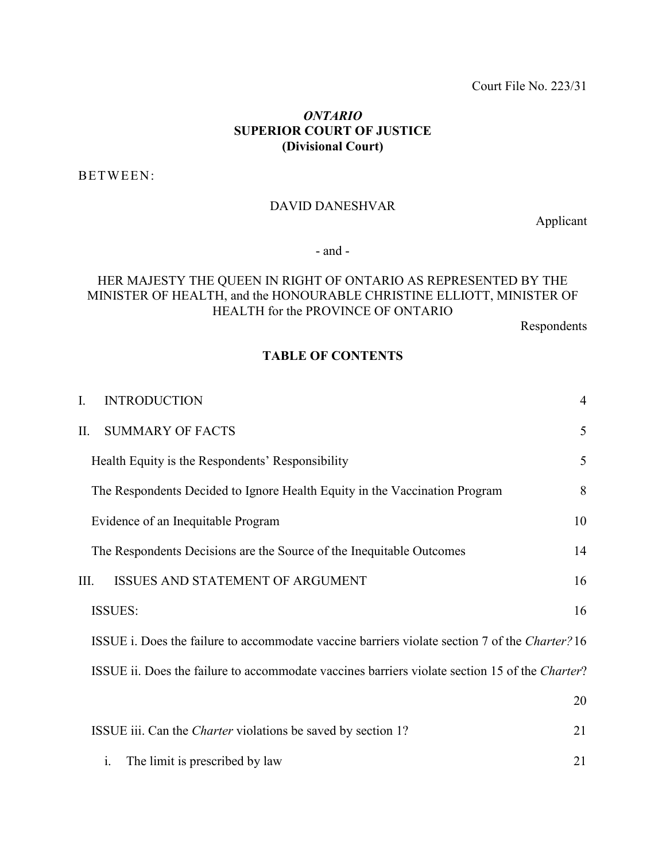#### *ONTARIO* **SUPERIOR COURT OF JUSTICE (Divisional Court)**

BETWEEN:

#### DAVID DANESHVAR

Applicant

- and -

#### HER MAJESTY THE QUEEN IN RIGHT OF ONTARIO AS REPRESENTED BY THE MINISTER OF HEALTH, and the HONOURABLE CHRISTINE ELLIOTT, MINISTER OF HEALTH for the PROVINCE OF ONTARIO

Respondents

#### **TABLE OF CONTENTS**

| L.                                                                                             | <b>INTRODUCTION</b>                                                                            | $\overline{4}$ |  |  |
|------------------------------------------------------------------------------------------------|------------------------------------------------------------------------------------------------|----------------|--|--|
| Π.                                                                                             | <b>SUMMARY OF FACTS</b>                                                                        | 5              |  |  |
|                                                                                                | Health Equity is the Respondents' Responsibility                                               | 5              |  |  |
|                                                                                                | The Respondents Decided to Ignore Health Equity in the Vaccination Program                     | 8              |  |  |
| Evidence of an Inequitable Program                                                             |                                                                                                |                |  |  |
|                                                                                                | The Respondents Decisions are the Source of the Inequitable Outcomes                           | 14             |  |  |
| III.                                                                                           | <b>ISSUES AND STATEMENT OF ARGUMENT</b>                                                        | 16             |  |  |
| 16<br><b>ISSUES:</b>                                                                           |                                                                                                |                |  |  |
|                                                                                                | ISSUE i. Does the failure to accommodate vaccine barriers violate section 7 of the Charter? 16 |                |  |  |
| ISSUE ii. Does the failure to accommodate vaccines barriers violate section 15 of the Charter? |                                                                                                |                |  |  |
|                                                                                                |                                                                                                | 20             |  |  |
|                                                                                                | ISSUE iii. Can the <i>Charter</i> violations be saved by section 1?                            | 21             |  |  |

i. The [limit is prescribed by law](#page-20-1) 21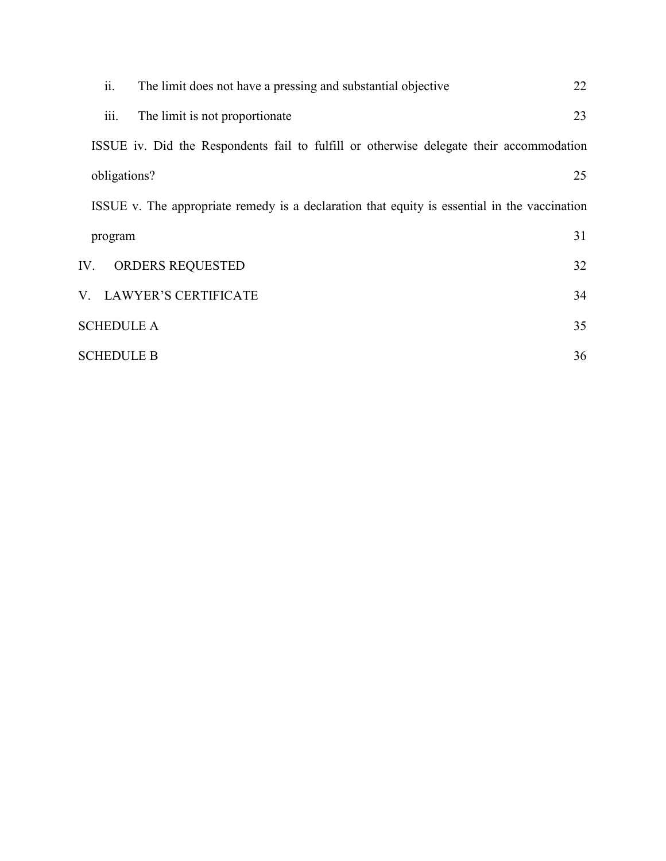| ii.<br>The limit does not have a pressing and substantial objective                          | 22 |  |  |  |
|----------------------------------------------------------------------------------------------|----|--|--|--|
| iii.<br>The limit is not proportionate.                                                      | 23 |  |  |  |
| ISSUE iv. Did the Respondents fail to fulfill or otherwise delegate their accommodation      |    |  |  |  |
| obligations?                                                                                 | 25 |  |  |  |
| ISSUE v. The appropriate remedy is a declaration that equity is essential in the vaccination |    |  |  |  |
| program                                                                                      | 31 |  |  |  |
| ORDERS REQUESTED<br>IV.                                                                      | 32 |  |  |  |
| V. LAWYER'S CERTIFICATE                                                                      | 34 |  |  |  |
| <b>SCHEDULE A</b>                                                                            |    |  |  |  |
| <b>SCHEDULE B</b><br>36                                                                      |    |  |  |  |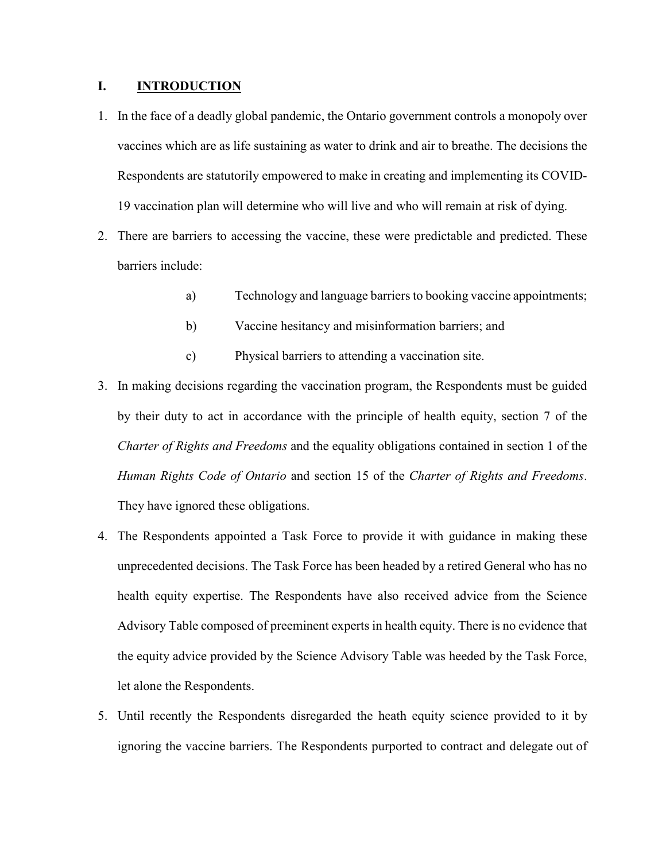#### <span id="page-3-0"></span>**I. INTRODUCTION**

- 1. In the face of a deadly global pandemic, the Ontario government controls a monopoly over vaccines which are as life sustaining as water to drink and air to breathe. The decisions the Respondents are statutorily empowered to make in creating and implementing its COVID-19 vaccination plan will determine who will live and who will remain at risk of dying.
- 2. There are barriers to accessing the vaccine, these were predictable and predicted. These barriers include:
	- a) Technology and language barriers to booking vaccine appointments;
	- b) Vaccine hesitancy and misinformation barriers; and
	- c) Physical barriers to attending a vaccination site.
- 3. In making decisions regarding the vaccination program, the Respondents must be guided by their duty to act in accordance with the principle of health equity, section 7 of the *Charter of Rights and Freedoms* and the equality obligations contained in section 1 of the *Human Rights Code of Ontario* and section 15 of the *Charter of Rights and Freedoms*. They have ignored these obligations.
- 4. The Respondents appointed a Task Force to provide it with guidance in making these unprecedented decisions. The Task Force has been headed by a retired General who has no health equity expertise. The Respondents have also received advice from the Science Advisory Table composed of preeminent experts in health equity. There is no evidence that the equity advice provided by the Science Advisory Table was heeded by the Task Force, let alone the Respondents.
- 5. Until recently the Respondents disregarded the heath equity science provided to it by ignoring the vaccine barriers. The Respondents purported to contract and delegate out of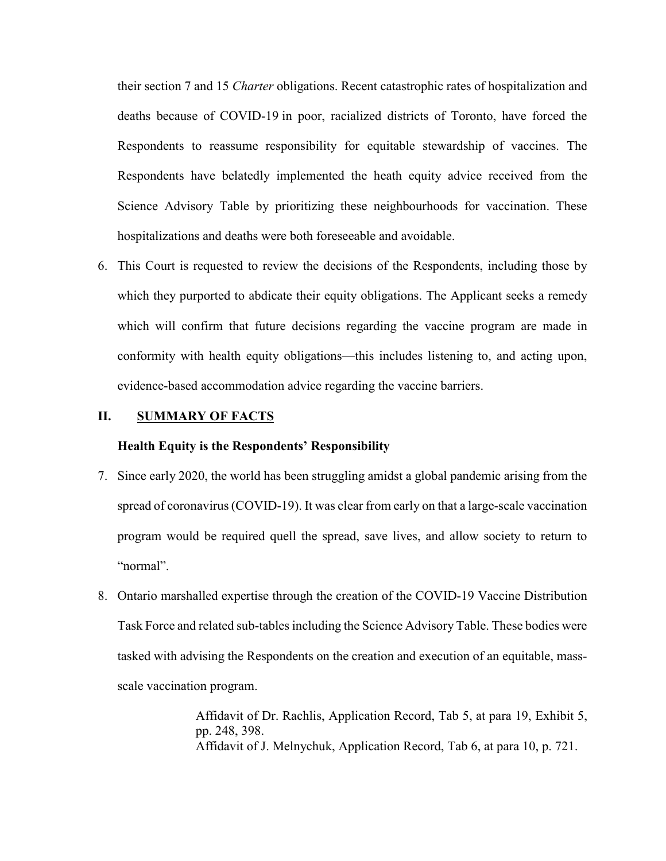their section 7 and 15 *Charter* obligations. Recent catastrophic rates of hospitalization and deaths because of COVID-19 in poor, racialized districts of Toronto, have forced the Respondents to reassume responsibility for equitable stewardship of vaccines. The Respondents have belatedly implemented the heath equity advice received from the Science Advisory Table by prioritizing these neighbourhoods for vaccination. These hospitalizations and deaths were both foreseeable and avoidable.

6. This Court is requested to review the decisions of the Respondents, including those by which they purported to abdicate their equity obligations. The Applicant seeks a remedy which will confirm that future decisions regarding the vaccine program are made in conformity with health equity obligations—this includes listening to, and acting upon, evidence-based accommodation advice regarding the vaccine barriers.

#### <span id="page-4-1"></span><span id="page-4-0"></span>**II. SUMMARY OF FACTS**

#### **Health Equity is the Respondents' Responsibility**

- 7. Since early 2020, the world has been struggling amidst a global pandemic arising from the spread of coronavirus (COVID-19). It was clear from early on that a large-scale vaccination program would be required quell the spread, save lives, and allow society to return to "normal".
- 8. Ontario marshalled expertise through the creation of the COVID-19 Vaccine Distribution Task Force and related sub-tables including the Science Advisory Table. These bodies were tasked with advising the Respondents on the creation and execution of an equitable, massscale vaccination program.

Affidavit of Dr. Rachlis, Application Record, Tab 5, at para 19, Exhibit 5, pp. 248, 398. Affidavit of J. Melnychuk, Application Record, Tab 6, at para 10, p. 721.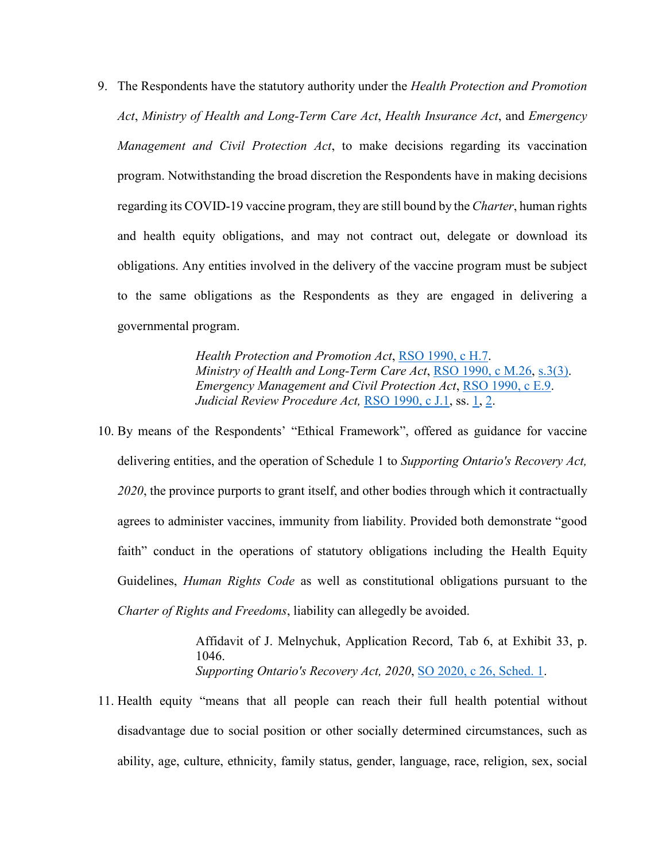9. The Respondents have the statutory authority under the *Health Protection and Promotion Act*, *Ministry of Health and Long-Term Care Act*, *Health Insurance Act*, and *Emergency Management and Civil Protection Act*, to make decisions regarding its vaccination program. Notwithstanding the broad discretion the Respondents have in making decisions regarding its COVID-19 vaccine program, they are still bound by the *Charter*, human rights and health equity obligations, and may not contract out, delegate or download its obligations. Any entities involved in the delivery of the vaccine program must be subject to the same obligations as the Respondents as they are engaged in delivering a governmental program.

> *Health Protection and Promotion Act*, RSO [1990, c](https://www.canlii.org/en/on/laws/stat/rso-1990-c-h7/latest/rso-1990-c-h7.html?autocompleteStr=Health%20Protection%20and%20Promotion%20Act&autocompletePos=1) H.7. *Ministry of Health and Long-Term Care Act*, RSO [1990, c](https://www.canlii.org/en/on/laws/stat/rso-1990-c-m26/latest/rso-1990-c-m26.html?autocompleteStr=Ministry%20of%20Health%20and%20Long-Term%20Care%20Act&autocompletePos=2) M.26, [s.3\(3\).](https://www.canlii.org/en/on/laws/stat/rso-1990-c-m26/latest/rso-1990-c-m26.html?autocompleteStr=Ministry%20of%20Health%20and%20Long-Term%20Care%20Act&autocompletePos=2#sec3subsec3) *Emergency Management and Civil Protection Act*, RSO [1990, c E.9.](https://www.canlii.org/en/on/laws/stat/rso-1990-c-e9/latest/rso-1990-c-e9.html?autocompleteStr=emergency%20man&autocompletePos=1) *Judicial Review Procedure Act,* RSO [1990, c](https://www.canlii.org/en/on/laws/stat/rso-1990-c-j1/latest/rso-1990-c-j1.html?autocompleteStr=judicial%20review%20proce&autocompletePos=2) J.1, ss. [1,](https://canlii.ca/t/2g8#sec1) [2.](https://canlii.ca/t/2g8#sec2)

10. By means of the Respondents' "Ethical Framework", offered as guidance for vaccine delivering entities, and the operation of Schedule 1 to *Supporting Ontario's Recovery Act, 2020*, the province purports to grant itself, and other bodies through which it contractually agrees to administer vaccines, immunity from liability. Provided both demonstrate "good faith" conduct in the operations of statutory obligations including the Health Equity Guidelines, *Human Rights Code* as well as constitutional obligations pursuant to the *Charter of Rights and Freedoms*, liability can allegedly be avoided.

> Affidavit of J. Melnychuk, Application Record, Tab 6, at Exhibit 33, p. 1046. *Supporting Ontario's Recovery Act, 2020, [SO 2020, c](https://www.canlii.org/en/on/laws/stat/so-2020-c-26-sch-1/latest/so-2020-c-26-sch-1.html?autocompleteStr=supporting%20ont&autocompletePos=1) 26, Sched. 1.*

11. Health equity "means that all people can reach their full health potential without disadvantage due to social position or other socially determined circumstances, such as ability, age, culture, ethnicity, family status, gender, language, race, religion, sex, social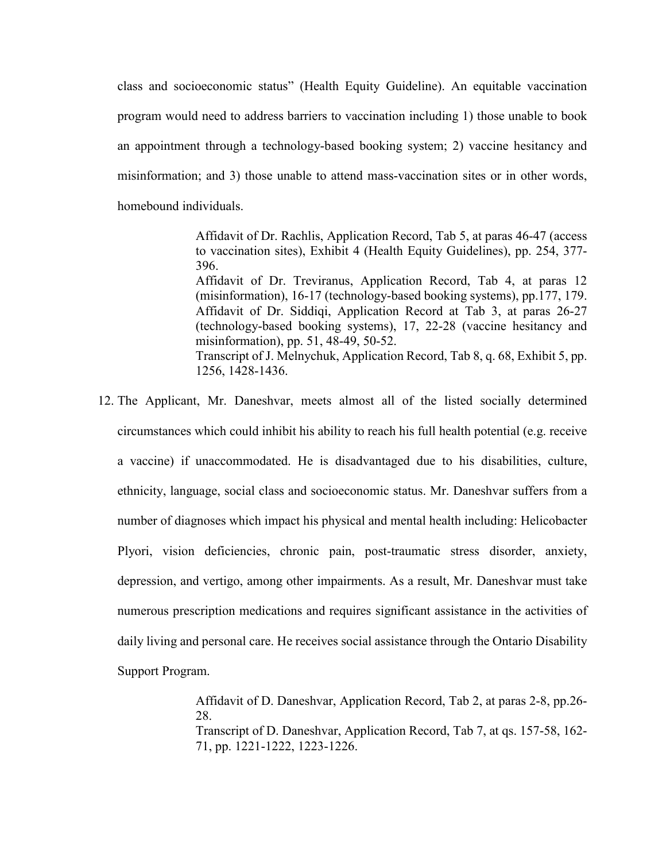class and socioeconomic status" (Health Equity Guideline). An equitable vaccination program would need to address barriers to vaccination including 1) those unable to book an appointment through a technology-based booking system; 2) vaccine hesitancy and misinformation; and 3) those unable to attend mass-vaccination sites or in other words, homebound individuals.

> Affidavit of Dr. Rachlis, Application Record, Tab 5, at paras 46-47 (access to vaccination sites), Exhibit 4 (Health Equity Guidelines), pp. 254, 377- 396.

> Affidavit of Dr. Treviranus, Application Record, Tab 4, at paras 12 (misinformation), 16-17 (technology-based booking systems), pp.177, 179. Affidavit of Dr. Siddiqi, Application Record at Tab 3, at paras 26-27 (technology-based booking systems), 17, 22-28 (vaccine hesitancy and misinformation), pp. 51, 48-49, 50-52. Transcript of J. Melnychuk, Application Record, Tab 8, q. 68, Exhibit 5, pp. 1256, 1428-1436.

12. The Applicant, Mr. Daneshvar, meets almost all of the listed socially determined circumstances which could inhibit his ability to reach his full health potential (e.g. receive a vaccine) if unaccommodated. He is disadvantaged due to his disabilities, culture, ethnicity, language, social class and socioeconomic status. Mr. Daneshvar suffers from a number of diagnoses which impact his physical and mental health including: Helicobacter Plyori, vision deficiencies, chronic pain, post-traumatic stress disorder, anxiety, depression, and vertigo, among other impairments. As a result, Mr. Daneshvar must take numerous prescription medications and requires significant assistance in the activities of daily living and personal care. He receives social assistance through the Ontario Disability Support Program.

> Affidavit of D. Daneshvar, Application Record, Tab 2, at paras 2-8, pp.26- 28. Transcript of D. Daneshvar, Application Record, Tab 7, at qs. 157-58, 162- 71, pp. 1221-1222, 1223-1226.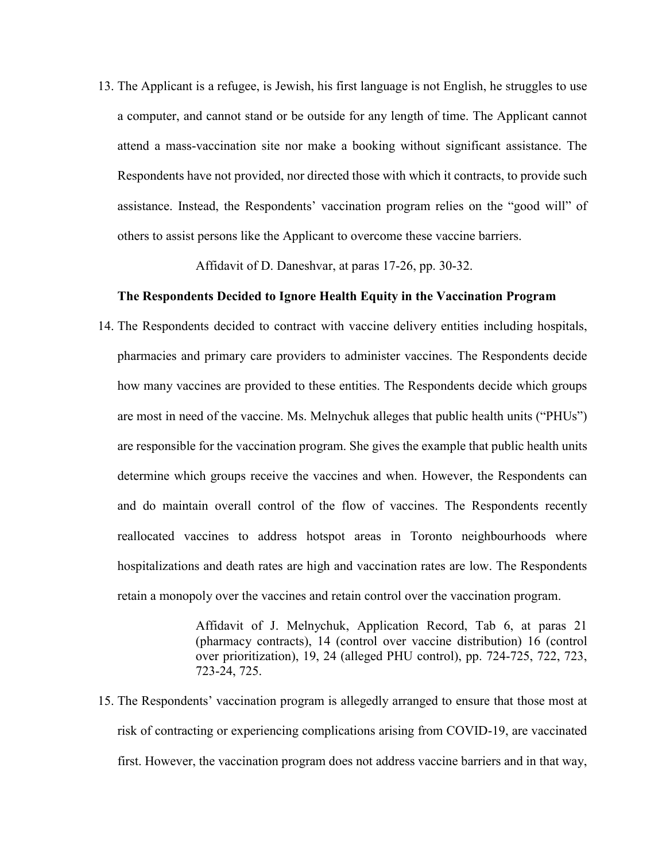13. The Applicant is a refugee, is Jewish, his first language is not English, he struggles to use a computer, and cannot stand or be outside for any length of time. The Applicant cannot attend a mass-vaccination site nor make a booking without significant assistance. The Respondents have not provided, nor directed those with which it contracts, to provide such assistance. Instead, the Respondents' vaccination program relies on the "good will" of others to assist persons like the Applicant to overcome these vaccine barriers.

Affidavit of D. Daneshvar, at paras 17-26, pp. 30-32.

#### **The Respondents Decided to Ignore Health Equity in the Vaccination Program**

<span id="page-7-0"></span>14. The Respondents decided to contract with vaccine delivery entities including hospitals, pharmacies and primary care providers to administer vaccines. The Respondents decide how many vaccines are provided to these entities. The Respondents decide which groups are most in need of the vaccine. Ms. Melnychuk alleges that public health units ("PHUs") are responsible for the vaccination program. She gives the example that public health units determine which groups receive the vaccines and when. However, the Respondents can and do maintain overall control of the flow of vaccines. The Respondents recently reallocated vaccines to address hotspot areas in Toronto neighbourhoods where hospitalizations and death rates are high and vaccination rates are low. The Respondents retain a monopoly over the vaccines and retain control over the vaccination program.

> Affidavit of J. Melnychuk, Application Record, Tab 6, at paras 21 (pharmacy contracts), 14 (control over vaccine distribution) 16 (control over prioritization), 19, 24 (alleged PHU control), pp. 724-725, 722, 723, 723-24, 725.

15. The Respondents' vaccination program is allegedly arranged to ensure that those most at risk of contracting or experiencing complications arising from COVID-19, are vaccinated first. However, the vaccination program does not address vaccine barriers and in that way,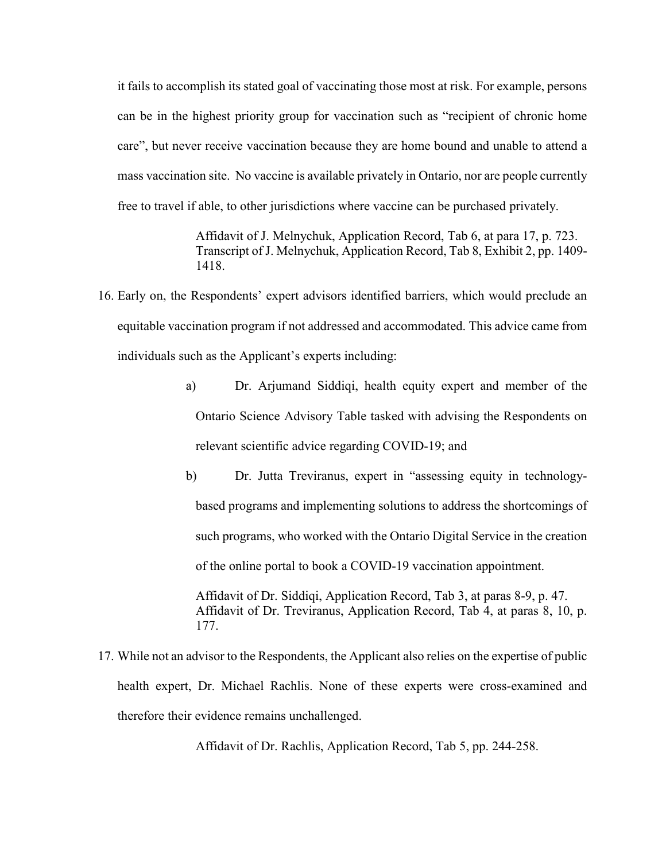it fails to accomplish its stated goal of vaccinating those most at risk. For example, persons can be in the highest priority group for vaccination such as "recipient of chronic home care", but never receive vaccination because they are home bound and unable to attend a mass vaccination site. No vaccine is available privately in Ontario, nor are people currently free to travel if able, to other jurisdictions where vaccine can be purchased privately.

> Affidavit of J. Melnychuk, Application Record, Tab 6, at para 17, p. 723. Transcript of J. Melnychuk, Application Record, Tab 8, Exhibit 2, pp. 1409- 1418.

- 16. Early on, the Respondents' expert advisors identified barriers, which would preclude an equitable vaccination program if not addressed and accommodated. This advice came from individuals such as the Applicant's experts including:
	- a) Dr. Arjumand Siddiqi, health equity expert and member of the Ontario Science Advisory Table tasked with advising the Respondents on relevant scientific advice regarding COVID-19; and
	- b) Dr. Jutta Treviranus, expert in "assessing equity in technologybased programs and implementing solutions to address the shortcomings of such programs, who worked with the Ontario Digital Service in the creation of the online portal to book a COVID-19 vaccination appointment.

Affidavit of Dr. Siddiqi, Application Record, Tab 3, at paras 8-9, p. 47. Affidavit of Dr. Treviranus, Application Record, Tab 4, at paras 8, 10, p. 177.

17. While not an advisor to the Respondents, the Applicant also relies on the expertise of public health expert, Dr. Michael Rachlis. None of these experts were cross-examined and therefore their evidence remains unchallenged.

Affidavit of Dr. Rachlis, Application Record, Tab 5, pp. 244-258.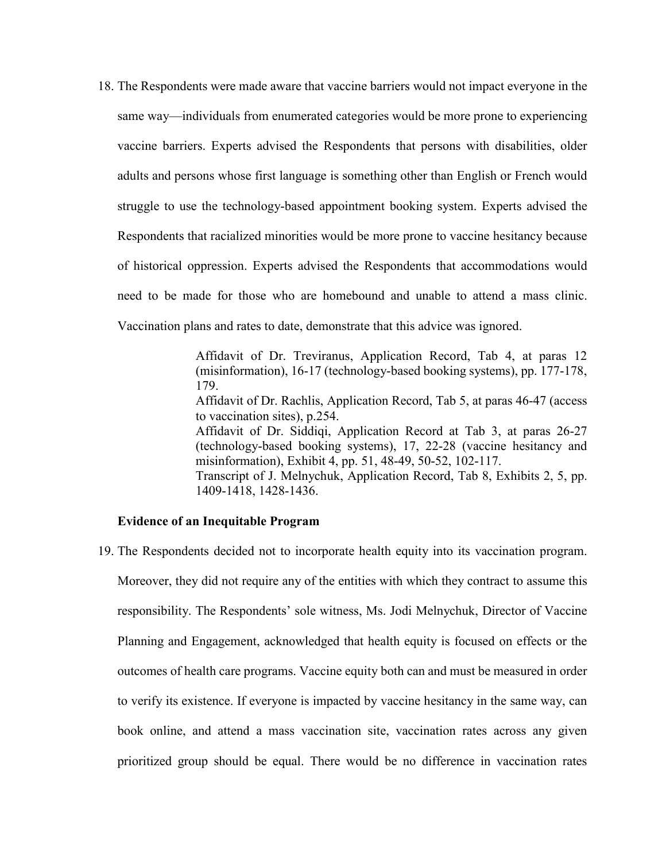18. The Respondents were made aware that vaccine barriers would not impact everyone in the same way—individuals from enumerated categories would be more prone to experiencing vaccine barriers. Experts advised the Respondents that persons with disabilities, older adults and persons whose first language is something other than English or French would struggle to use the technology-based appointment booking system. Experts advised the Respondents that racialized minorities would be more prone to vaccine hesitancy because of historical oppression. Experts advised the Respondents that accommodations would need to be made for those who are homebound and unable to attend a mass clinic. Vaccination plans and rates to date, demonstrate that this advice was ignored.

> Affidavit of Dr. Treviranus, Application Record, Tab 4, at paras 12 (misinformation), 16-17 (technology-based booking systems), pp. 177-178, 179. Affidavit of Dr. Rachlis, Application Record, Tab 5, at paras 46-47 (access to vaccination sites), p.254. Affidavit of Dr. Siddiqi, Application Record at Tab 3, at paras 26-27 (technology-based booking systems), 17, 22-28 (vaccine hesitancy and misinformation), Exhibit 4, pp. 51, 48-49, 50-52, 102-117. Transcript of J. Melnychuk, Application Record, Tab 8, Exhibits 2, 5, pp. 1409-1418, 1428-1436.

#### **Evidence of an Inequitable Program**

<span id="page-9-0"></span>19. The Respondents decided not to incorporate health equity into its vaccination program. Moreover, they did not require any of the entities with which they contract to assume this responsibility. The Respondents' sole witness, Ms. Jodi Melnychuk, Director of Vaccine Planning and Engagement, acknowledged that health equity is focused on effects or the outcomes of health care programs. Vaccine equity both can and must be measured in order to verify its existence. If everyone is impacted by vaccine hesitancy in the same way, can book online, and attend a mass vaccination site, vaccination rates across any given prioritized group should be equal. There would be no difference in vaccination rates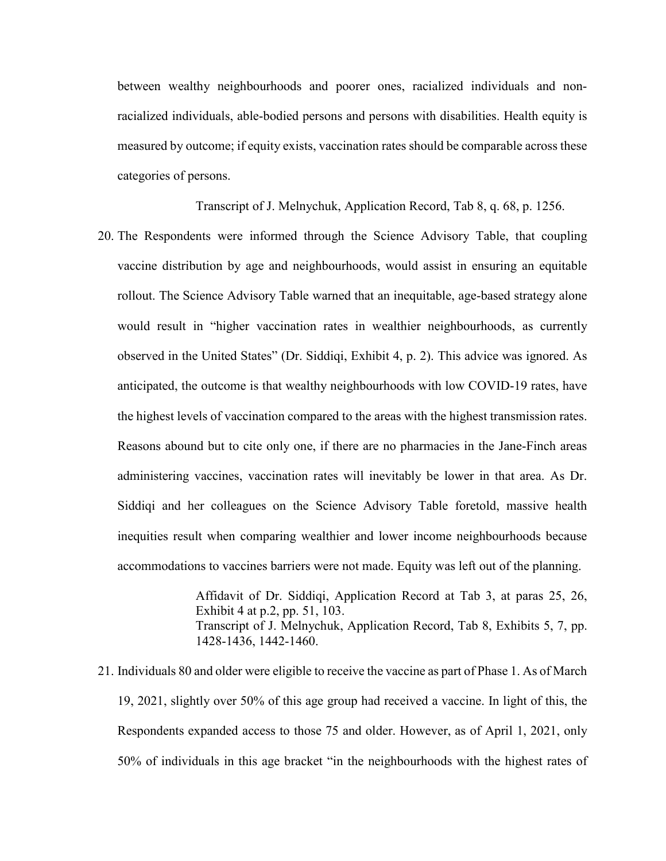between wealthy neighbourhoods and poorer ones, racialized individuals and nonracialized individuals, able-bodied persons and persons with disabilities. Health equity is measured by outcome; if equity exists, vaccination rates should be comparable across these categories of persons.

Transcript of J. Melnychuk, Application Record, Tab 8, q. 68, p. 1256.

20. The Respondents were informed through the Science Advisory Table, that coupling vaccine distribution by age and neighbourhoods, would assist in ensuring an equitable rollout. The Science Advisory Table warned that an inequitable, age-based strategy alone would result in "higher vaccination rates in wealthier neighbourhoods, as currently observed in the United States" (Dr. Siddiqi, Exhibit 4, p. 2). This advice was ignored. As anticipated, the outcome is that wealthy neighbourhoods with low COVID-19 rates, have the highest levels of vaccination compared to the areas with the highest transmission rates. Reasons abound but to cite only one, if there are no pharmacies in the Jane-Finch areas administering vaccines, vaccination rates will inevitably be lower in that area. As Dr. Siddiqi and her colleagues on the Science Advisory Table foretold, massive health inequities result when comparing wealthier and lower income neighbourhoods because accommodations to vaccines barriers were not made. Equity was left out of the planning.

> Affidavit of Dr. Siddiqi, Application Record at Tab 3, at paras 25, 26, Exhibit 4 at p.2, pp. 51, 103. Transcript of J. Melnychuk, Application Record, Tab 8, Exhibits 5, 7, pp. 1428-1436, 1442-1460.

21. Individuals 80 and older were eligible to receive the vaccine as part of Phase 1. As of March 19, 2021, slightly over 50% of this age group had received a vaccine. In light of this, the Respondents expanded access to those 75 and older. However, as of April 1, 2021, only 50% of individuals in this age bracket "in the neighbourhoods with the highest rates of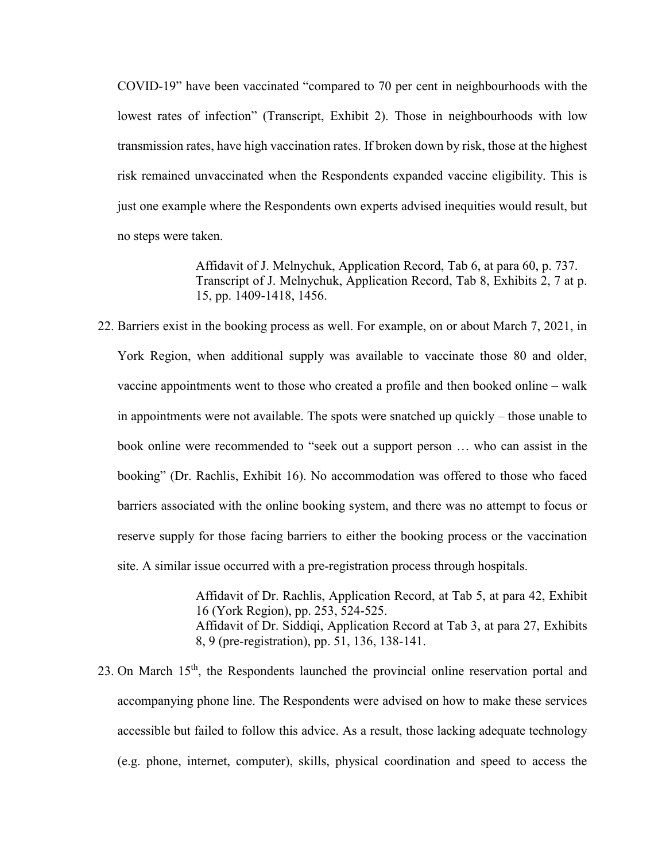COVID-19" have been vaccinated "compared to 70 per cent in neighbourhoods with the lowest rates of infection" (Transcript, Exhibit 2). Those in neighbourhoods with low transmission rates, have high vaccination rates. If broken down by risk, those at the highest risk remained unvaccinated when the Respondents expanded vaccine eligibility. This is just one example where the Respondents own experts advised inequities would result, but no steps were taken.

> Affidavit of J. Melnychuk, Application Record, Tab 6, at para 60, p. 737. Transcript of J. Melnychuk, Application Record, Tab 8, Exhibits 2, 7 at p. 15, pp. 1409-1418, 1456.

22. Barriers exist in the booking process as well. For example, on or about March 7, 2021, in York Region, when additional supply was available to vaccinate those 80 and older, vaccine appointments went to those who created a profile and then booked online – walk in appointments were not available. The spots were snatched up quickly – those unable to book online were recommended to "seek out a support person … who can assist in the booking" (Dr. Rachlis, Exhibit 16). No accommodation was offered to those who faced barriers associated with the online booking system, and there was no attempt to focus or reserve supply for those facing barriers to either the booking process or the vaccination site. A similar issue occurred with a pre-registration process through hospitals.

> Affidavit of Dr. Rachlis, Application Record, at Tab 5, at para 42, Exhibit 16 (York Region), pp. 253, 524-525. Affidavit of Dr. Siddiqi, Application Record at Tab 3, at para 27, Exhibits 8, 9 (pre-registration), pp. 51, 136, 138-141.

23. On March 15<sup>th</sup>, the Respondents launched the provincial online reservation portal and accompanying phone line. The Respondents were advised on how to make these services accessible but failed to follow this advice. As a result, those lacking adequate technology (e.g. phone, internet, computer), skills, physical coordination and speed to access the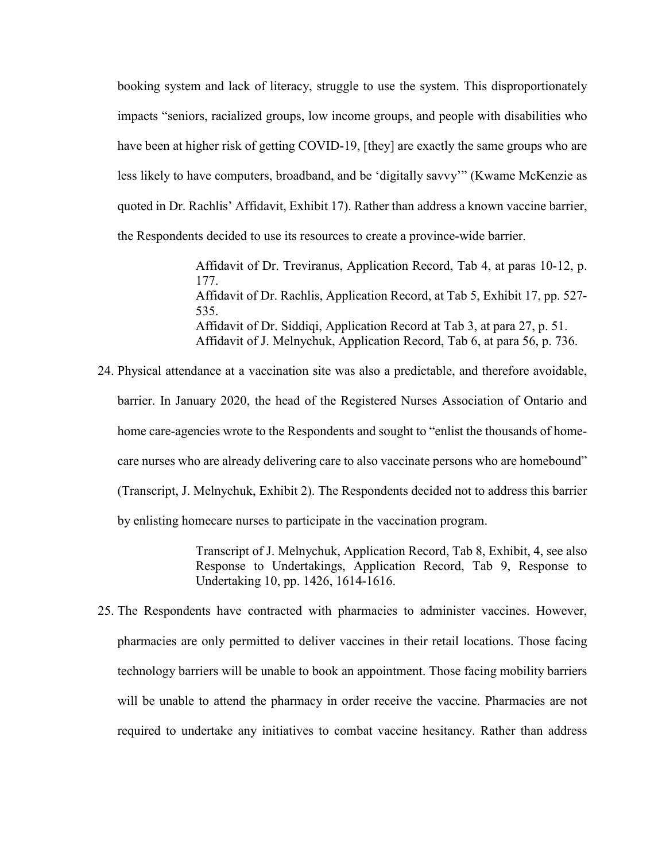booking system and lack of literacy, struggle to use the system. This disproportionately impacts "seniors, racialized groups, low income groups, and people with disabilities who have been at higher risk of getting COVID-19, [they] are exactly the same groups who are less likely to have computers, broadband, and be 'digitally savvy'" (Kwame McKenzie as quoted in Dr. Rachlis' Affidavit, Exhibit 17). Rather than address a known vaccine barrier, the Respondents decided to use its resources to create a province-wide barrier.

> Affidavit of Dr. Treviranus, Application Record, Tab 4, at paras 10-12, p. 177. Affidavit of Dr. Rachlis, Application Record, at Tab 5, Exhibit 17, pp. 527- 535. Affidavit of Dr. Siddiqi, Application Record at Tab 3, at para 27, p. 51. Affidavit of J. Melnychuk, Application Record, Tab 6, at para 56, p. 736.

24. Physical attendance at a vaccination site was also a predictable, and therefore avoidable, barrier. In January 2020, the head of the Registered Nurses Association of Ontario and home care-agencies wrote to the Respondents and sought to "enlist the thousands of homecare nurses who are already delivering care to also vaccinate persons who are homebound" (Transcript, J. Melnychuk, Exhibit 2). The Respondents decided not to address this barrier by enlisting homecare nurses to participate in the vaccination program.

> Transcript of J. Melnychuk, Application Record, Tab 8, Exhibit, 4, see also Response to Undertakings, Application Record, Tab 9, Response to Undertaking 10, pp. 1426, 1614-1616.

25. The Respondents have contracted with pharmacies to administer vaccines. However, pharmacies are only permitted to deliver vaccines in their retail locations. Those facing technology barriers will be unable to book an appointment. Those facing mobility barriers will be unable to attend the pharmacy in order receive the vaccine. Pharmacies are not required to undertake any initiatives to combat vaccine hesitancy. Rather than address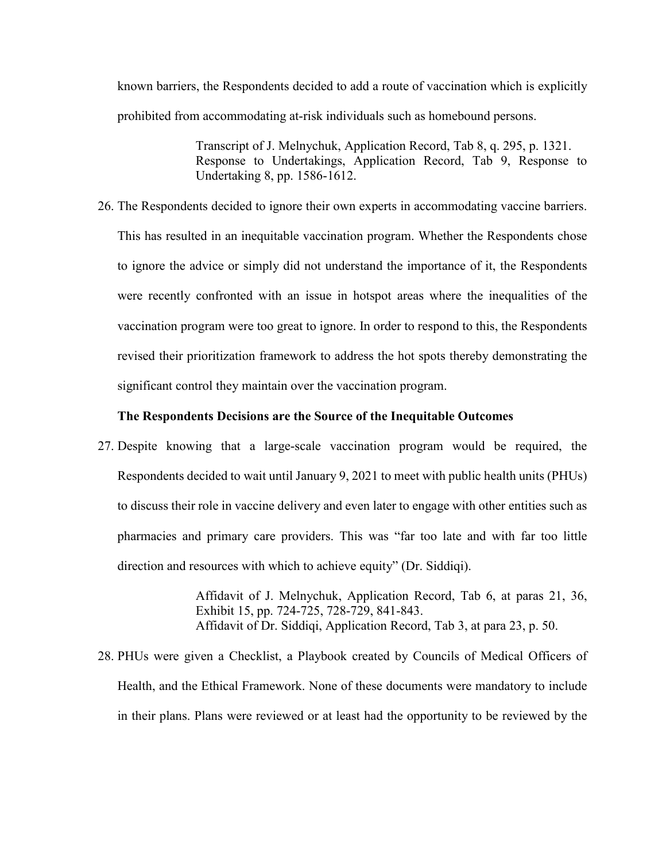known barriers, the Respondents decided to add a route of vaccination which is explicitly prohibited from accommodating at-risk individuals such as homebound persons.

> Transcript of J. Melnychuk, Application Record, Tab 8, q. 295, p. 1321. Response to Undertakings, Application Record, Tab 9, Response to Undertaking 8, pp. 1586-1612.

26. The Respondents decided to ignore their own experts in accommodating vaccine barriers. This has resulted in an inequitable vaccination program. Whether the Respondents chose to ignore the advice or simply did not understand the importance of it, the Respondents were recently confronted with an issue in hotspot areas where the inequalities of the vaccination program were too great to ignore. In order to respond to this, the Respondents revised their prioritization framework to address the hot spots thereby demonstrating the significant control they maintain over the vaccination program.

#### **The Respondents Decisions are the Source of the Inequitable Outcomes**

<span id="page-13-0"></span>27. Despite knowing that a large-scale vaccination program would be required, the Respondents decided to wait until January 9, 2021 to meet with public health units (PHUs) to discuss their role in vaccine delivery and even later to engage with other entities such as pharmacies and primary care providers. This was "far too late and with far too little direction and resources with which to achieve equity" (Dr. Siddiqi).

> Affidavit of J. Melnychuk, Application Record, Tab 6, at paras 21, 36, Exhibit 15, pp. 724-725, 728-729, 841-843. Affidavit of Dr. Siddiqi, Application Record, Tab 3, at para 23, p. 50.

28. PHUs were given a Checklist, a Playbook created by Councils of Medical Officers of Health, and the Ethical Framework. None of these documents were mandatory to include in their plans. Plans were reviewed or at least had the opportunity to be reviewed by the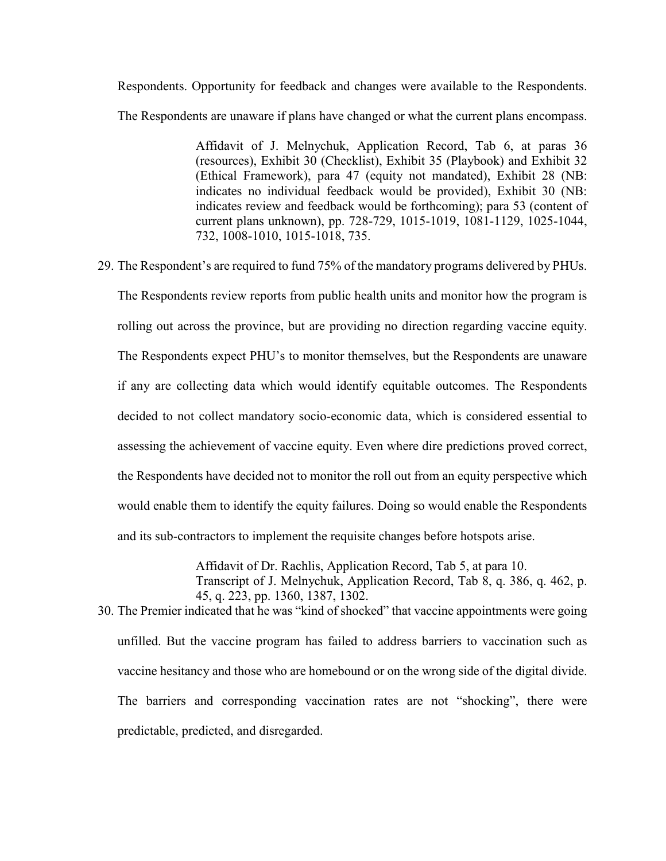Respondents. Opportunity for feedback and changes were available to the Respondents. The Respondents are unaware if plans have changed or what the current plans encompass.

> Affidavit of J. Melnychuk, Application Record, Tab 6, at paras 36 (resources), Exhibit 30 (Checklist), Exhibit 35 (Playbook) and Exhibit 32 (Ethical Framework), para 47 (equity not mandated), Exhibit 28 (NB: indicates no individual feedback would be provided), Exhibit 30 (NB: indicates review and feedback would be forthcoming); para 53 (content of current plans unknown), pp. 728-729, 1015-1019, 1081-1129, 1025-1044, 732, 1008-1010, 1015-1018, 735.

29. The Respondent's are required to fund 75% of the mandatory programs delivered by PHUs.

The Respondents review reports from public health units and monitor how the program is rolling out across the province, but are providing no direction regarding vaccine equity. The Respondents expect PHU's to monitor themselves, but the Respondents are unaware if any are collecting data which would identify equitable outcomes. The Respondents decided to not collect mandatory socio-economic data, which is considered essential to assessing the achievement of vaccine equity. Even where dire predictions proved correct, the Respondents have decided not to monitor the roll out from an equity perspective which would enable them to identify the equity failures. Doing so would enable the Respondents and its sub-contractors to implement the requisite changes before hotspots arise.

> Affidavit of Dr. Rachlis, Application Record, Tab 5, at para 10. Transcript of J. Melnychuk, Application Record, Tab 8, q. 386, q. 462, p. 45, q. 223, pp. 1360, 1387, 1302.

30. The Premier indicated that he was "kind of shocked" that vaccine appointments were going unfilled. But the vaccine program has failed to address barriers to vaccination such as vaccine hesitancy and those who are homebound or on the wrong side of the digital divide. The barriers and corresponding vaccination rates are not "shocking", there were predictable, predicted, and disregarded.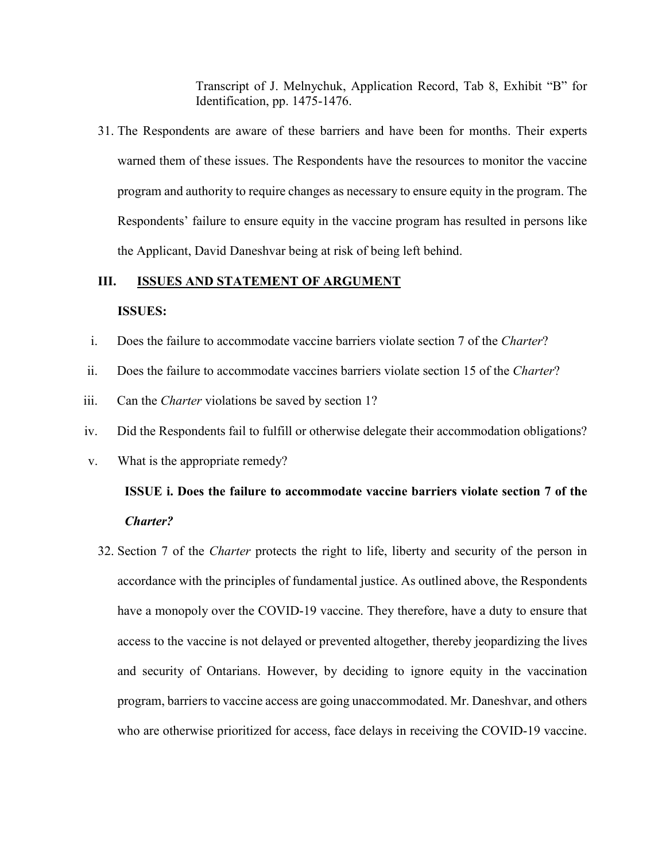Transcript of J. Melnychuk, Application Record, Tab 8, Exhibit "B" for Identification, pp. 1475-1476.

31. The Respondents are aware of these barriers and have been for months. Their experts warned them of these issues. The Respondents have the resources to monitor the vaccine program and authority to require changes as necessary to ensure equity in the program. The Respondents' failure to ensure equity in the vaccine program has resulted in persons like the Applicant, David Daneshvar being at risk of being left behind.

#### <span id="page-15-0"></span>**III. ISSUES AND STATEMENT OF ARGUMENT**

#### **ISSUES:**

- <span id="page-15-1"></span>i. Does the failure to accommodate vaccine barriers violate section 7 of the *Charter*?
- ii. Does the failure to accommodate vaccines barriers violate section 15 of the *Charter*?
- iii. Can the *Charter* violations be saved by section 1?
- iv. Did the Respondents fail to fulfill or otherwise delegate their accommodation obligations?
- <span id="page-15-2"></span>v. What is the appropriate remedy?

## **ISSUE i. Does the failure to accommodate vaccine barriers violate section 7 of the**  *Charter?*

32. Section 7 of the *Charter* protects the right to life, liberty and security of the person in accordance with the principles of fundamental justice. As outlined above, the Respondents have a monopoly over the COVID-19 vaccine. They therefore, have a duty to ensure that access to the vaccine is not delayed or prevented altogether, thereby jeopardizing the lives and security of Ontarians. However, by deciding to ignore equity in the vaccination program, barriers to vaccine access are going unaccommodated. Mr. Daneshvar, and others who are otherwise prioritized for access, face delays in receiving the COVID-19 vaccine.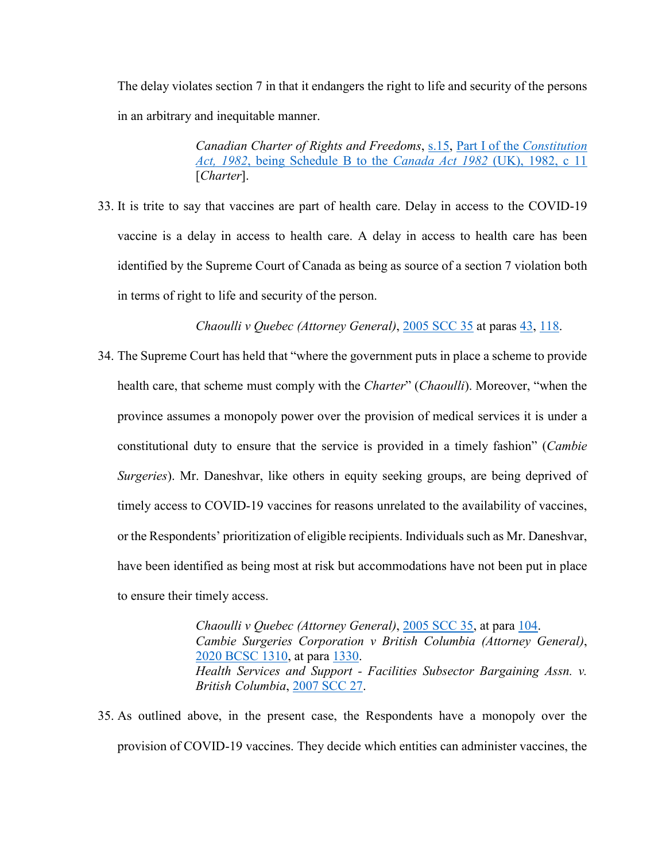The delay violates section 7 in that it endangers the right to life and security of the persons in an arbitrary and inequitable manner.

> *Canadian Charter of Rights and Freedoms*, [s.15,](https://canlii.ca/t/8q7l#sec15) [Part I of the](https://www.canlii.org/en/ca/laws/stat/schedule-b-to-the-canada-act-1982-uk-1982-c-11/latest/schedule-b-to-the-canada-act-1982-uk-1982-c-11.html?autocompleteStr=canadian%20&autocompletePos=1) *Constitution Act, 1982*[, being Schedule B to the](https://www.canlii.org/en/ca/laws/stat/schedule-b-to-the-canada-act-1982-uk-1982-c-11/latest/schedule-b-to-the-canada-act-1982-uk-1982-c-11.html?autocompleteStr=canadian%20&autocompletePos=1) *Canada Act 1982* (UK), 1982, c 11 [*Charter*].

33. It is trite to say that vaccines are part of health care. Delay in access to the COVID-19 vaccine is a delay in access to health care. A delay in access to health care has been identified by the Supreme Court of Canada as being as source of a section 7 violation both in terms of right to life and security of the person.

*Chaoulli v Quebec (Attorney General)*, [2005 SCC 35](https://www.canlii.org/en/ca/scc/doc/2005/2005scc35/2005scc35.html?autocompleteStr=2005%20SCC%2035&autocompletePos=1) at paras [43,](https://www.canlii.org/en/ca/scc/doc/2005/2005scc35/2005scc35.html?autocompleteStr=2005%20SCC%2035&autocompletePos=1#par43) [118.](https://www.canlii.org/en/ca/scc/doc/2005/2005scc35/2005scc35.html?autocompleteStr=2005%20SCC%2035&autocompletePos=1#par118)

34. The Supreme Court has held that "where the government puts in place a scheme to provide health care, that scheme must comply with the *Charter*" (*Chaoulli*). Moreover, "when the province assumes a monopoly power over the provision of medical services it is under a constitutional duty to ensure that the service is provided in a timely fashion" (*Cambie Surgeries*). Mr. Daneshvar, like others in equity seeking groups, are being deprived of timely access to COVID-19 vaccines for reasons unrelated to the availability of vaccines, or the Respondents' prioritization of eligible recipients. Individuals such as Mr. Daneshvar, have been identified as being most at risk but accommodations have not been put in place to ensure their timely access.

> *Chaoulli v Quebec (Attorney General)*, [2005 SCC 35,](https://www.canlii.org/en/ca/scc/doc/2005/2005scc35/2005scc35.html?autocompleteStr=2005%20SCC%2035&autocompletePos=1) at para [104.](https://www.canlii.org/en/ca/scc/doc/2005/2005scc35/2005scc35.html?autocompleteStr=2005%20SCC%2035&autocompletePos=1#par104) *Cambie Surgeries Corporation v British Columbia (Attorney General)*, [2020 BCSC 1310,](https://www.canlii.org/en/bc/bcsc/doc/2020/2020bcsc1310/2020bcsc1310.html?autocompleteStr=2020%20BCSC%201310&autocompletePos=1) at para [1330.](https://www.canlii.org/en/bc/bcsc/doc/2020/2020bcsc1310/2020bcsc1310.html?autocompleteStr=2020%20BCSC%201310&autocompletePos=1#par1330) *Health Services and Support - Facilities Subsector Bargaining Assn. v. British Columbia*, [2007 SCC 27.](https://www.canlii.org/en/ca/scc/doc/2007/2007scc27/2007scc27.html?autocompleteStr=2007%20SCC%2027&autocompletePos=1)

35. As outlined above, in the present case, the Respondents have a monopoly over the provision of COVID-19 vaccines. They decide which entities can administer vaccines, the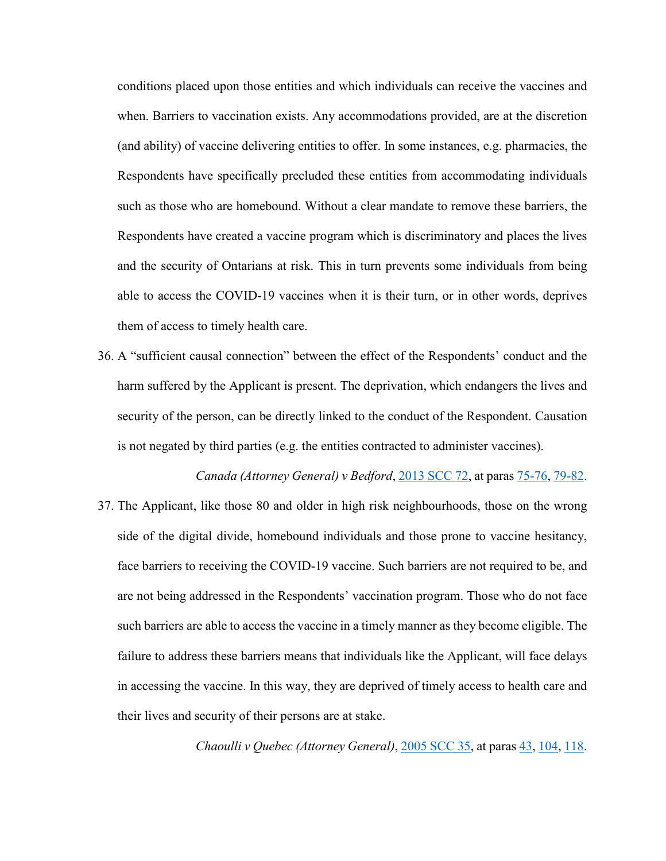conditions placed upon those entities and which individuals can receive the vaccines and when. Barriers to vaccination exists. Any accommodations provided, are at the discretion (and ability) of vaccine delivering entities to offer. In some instances, e.g. pharmacies, the Respondents have specifically precluded these entities from accommodating individuals such as those who are homebound. Without a clear mandate to remove these barriers, the Respondents have created a vaccine program which is discriminatory and places the lives and the security of Ontarians at risk. This in turn prevents some individuals from being able to access the COVID-19 vaccines when it is their turn, or in other words, deprives them of access to timely health care.

36. A "sufficient causal connection" between the effect of the Respondents' conduct and the harm suffered by the Applicant is present. The deprivation, which endangers the lives and security of the person, can be directly linked to the conduct of the Respondent. Causation is not negated by third parties (e.g. the entities contracted to administer vaccines).

*Canada (Attorney General) v Bedford*, [2013 SCC 72,](https://www.canlii.org/en/ca/scc/doc/2013/2013scc72/2013scc72.html?autocompleteStr=2013%20SCC%2072&autocompletePos=1) at paras [75-76,](https://www.canlii.org/en/ca/scc/doc/2013/2013scc72/2013scc72.html?autocompleteStr=2013%20SCC%2072&autocompletePos=1#par75) [79-82.](https://www.canlii.org/en/ca/scc/doc/2013/2013scc72/2013scc72.html?autocompleteStr=2013%20SCC%2072&autocompletePos=1#par79) 37. The Applicant, like those 80 and older in high risk neighbourhoods, those on the wrong side of the digital divide, homebound individuals and those prone to vaccine hesitancy, face barriers to receiving the COVID-19 vaccine. Such barriers are not required to be, and are not being addressed in the Respondents' vaccination program. Those who do not face such barriers are able to access the vaccine in a timely manner as they become eligible. The failure to address these barriers means that individuals like the Applicant, will face delays in accessing the vaccine. In this way, they are deprived of timely access to health care and their lives and security of their persons are at stake.

*Chaoulli v Quebec (Attorney General)*, [2005 SCC 35,](https://www.canlii.org/en/ca/scc/doc/2005/2005scc35/2005scc35.html?autocompleteStr=2005%20SCC%2035&autocompletePos=1) at paras [43,](https://www.canlii.org/en/ca/scc/doc/2005/2005scc35/2005scc35.html?autocompleteStr=2005%20SCC%2035&autocompletePos=1#par43) [104,](https://www.canlii.org/en/ca/scc/doc/2005/2005scc35/2005scc35.html?autocompleteStr=2005%20SCC%2035&autocompletePos=1#par104) [118.](https://www.canlii.org/en/ca/scc/doc/2005/2005scc35/2005scc35.html?autocompleteStr=2005%20SCC%2035&autocompletePos=1#par118)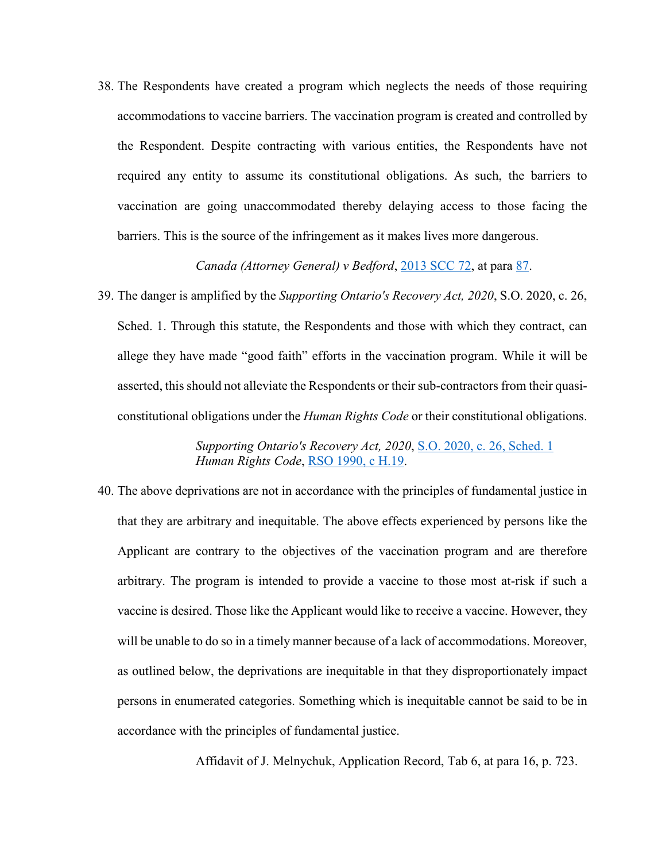38. The Respondents have created a program which neglects the needs of those requiring accommodations to vaccine barriers. The vaccination program is created and controlled by the Respondent. Despite contracting with various entities, the Respondents have not required any entity to assume its constitutional obligations. As such, the barriers to vaccination are going unaccommodated thereby delaying access to those facing the barriers. This is the source of the infringement as it makes lives more dangerous.

*Canada (Attorney General) v Bedford*, [2013 SCC 72,](https://www.canlii.org/en/ca/scc/doc/2013/2013scc72/2013scc72.html?autocompleteStr=2013%20SCC%2072&autocompletePos=1) at para [87.](https://canlii.ca/t/g2f56#par87)

39. The danger is amplified by the *Supporting Ontario's Recovery Act, 2020*, S.O. 2020, c. 26, Sched. 1. Through this statute, the Respondents and those with which they contract, can allege they have made "good faith" efforts in the vaccination program. While it will be asserted, this should not alleviate the Respondents or their sub-contractors from their quasiconstitutional obligations under the *Human Rights Code* or their constitutional obligations.

> *Supporting Ontario's Recovery Act, 2020*, [S.O. 2020, c. 26, Sched. 1](https://www.canlii.org/en/on/laws/stat/so-2020-c-26-sch-1/latest/so-2020-c-26-sch-1.html?autocompleteStr=S.O.%202020%2C%20c.%2026&autocompletePos=1) *Human Rights Code*, [RSO 1990, c](https://www.canlii.org/en/on/laws/stat/rso-1990-c-h19/latest/rso-1990-c-h19.html?autocompleteStr=human%20&autocompletePos=1) H.19.

40. The above deprivations are not in accordance with the principles of fundamental justice in that they are arbitrary and inequitable. The above effects experienced by persons like the Applicant are contrary to the objectives of the vaccination program and are therefore arbitrary. The program is intended to provide a vaccine to those most at-risk if such a vaccine is desired. Those like the Applicant would like to receive a vaccine. However, they will be unable to do so in a timely manner because of a lack of accommodations. Moreover, as outlined below, the deprivations are inequitable in that they disproportionately impact persons in enumerated categories. Something which is inequitable cannot be said to be in accordance with the principles of fundamental justice.

Affidavit of J. Melnychuk, Application Record, Tab 6, at para 16, p. 723.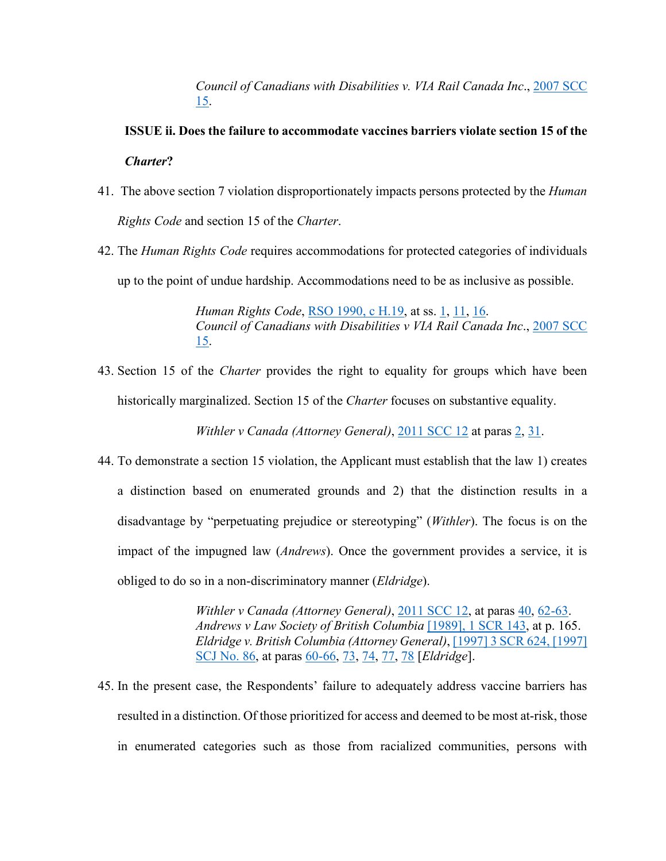*Council of Canadians with Disabilities v. VIA Rail Canada Inc*., [2007 SCC](https://www.canlii.org/en/ca/scc/doc/2007/2007scc15/2007scc15.html?autocompleteStr=2007%20SCC%2015&autocompletePos=1)  [15.](https://www.canlii.org/en/ca/scc/doc/2007/2007scc15/2007scc15.html?autocompleteStr=2007%20SCC%2015&autocompletePos=1)

## <span id="page-19-0"></span>**ISSUE ii. Does the failure to accommodate vaccines barriers violate section 15 of the**  *Charter***?**

- 41. The above section 7 violation disproportionately impacts persons protected by the *Human Rights Code* and section 15 of the *Charter*.
- 42. The *Human Rights Code* requires accommodations for protected categories of individuals up to the point of undue hardship. Accommodations need to be as inclusive as possible.

*Human Rights Code*, [RSO 1990, c H.19,](https://www.canlii.org/en/on/laws/stat/rso-1990-c-h19/latest/rso-1990-c-h19.html?autocompleteStr=human%20&autocompletePos=1) at ss. [1,](https://canlii.ca/t/2fd#sec1) [11,](https://canlii.ca/t/2fd#sec11) [16.](https://canlii.ca/t/2fd#sec16) *Council of Canadians with Disabilities v VIA Rail Canada Inc*., [2007 SCC](https://www.canlii.org/en/ca/scc/doc/2007/2007scc15/2007scc15.html?autocompleteStr=2007%20SCC%2015&autocompletePos=1)  [15.](https://www.canlii.org/en/ca/scc/doc/2007/2007scc15/2007scc15.html?autocompleteStr=2007%20SCC%2015&autocompletePos=1)

43. Section 15 of the *Charter* provides the right to equality for groups which have been historically marginalized. Section 15 of the *Charter* focuses on substantive equality.

*Withler v Canada (Attorney General)*, [2011 SCC 12](https://www.canlii.org/en/ca/scc/doc/2011/2011scc12/2011scc12.html?autocompleteStr=2011%20SCC%2012&autocompletePos=1) at paras [2,](https://www.canlii.org/en/ca/scc/doc/2011/2011scc12/2011scc12.html?autocompleteStr=2011%20SCC%2012&autocompletePos=1#par2) [31.](https://www.canlii.org/en/ca/scc/doc/2011/2011scc12/2011scc12.html?autocompleteStr=2011%20SCC%2012&autocompletePos=1#par31)

44. To demonstrate a section 15 violation, the Applicant must establish that the law 1) creates a distinction based on enumerated grounds and 2) that the distinction results in a disadvantage by "perpetuating prejudice or stereotyping" (*Withler*). The focus is on the impact of the impugned law (*Andrews*). Once the government provides a service, it is obliged to do so in a non-discriminatory manner (*Eldridge*).

> *Withler v Canada (Attorney General)*, [2011 SCC 12,](https://www.canlii.org/en/ca/scc/doc/2011/2011scc12/2011scc12.html?autocompleteStr=2011%20SCC%2012&autocompletePos=1) at paras [40,](https://www.canlii.org/en/ca/scc/doc/2011/2011scc12/2011scc12.html?autocompleteStr=2011%20SCC%2012&autocompletePos=1#par40) [62-63.](https://www.canlii.org/en/ca/scc/doc/2011/2011scc12/2011scc12.html?autocompleteStr=2011%20SCC%2012&autocompletePos=1#par62) *Andrews v Law Society of British Columbia* [\[1989\], 1 SCR 143,](https://www.canlii.org/en/ca/scc/doc/1989/1989canlii2/1989canlii2.html?autocompleteStr=%5B1989%5D%2C%201%20SCR%20143&autocompletePos=1) at p. 165. *Eldridge v. British Columbia (Attorney General)*, [\[1997\] 3 SCR 624, \[1997\]](https://www.canlii.org/en/ca/scc/doc/1997/1997canlii327/1997canlii327.html?autocompleteStr=%5B1997%5D%203%20S.C.R.%20624&autocompletePos=1)  [SCJ](https://www.canlii.org/en/ca/scc/doc/1997/1997canlii327/1997canlii327.html?autocompleteStr=%5B1997%5D%203%20S.C.R.%20624&autocompletePos=1) No. 86, at paras [60-66,](https://www.canlii.org/en/ca/scc/doc/1997/1997canlii327/1997canlii327.html?autocompleteStr=%5B1997%5D%203%20S.C.R.%20624&autocompletePos=1#par60) [73,](https://www.canlii.org/en/ca/scc/doc/1997/1997canlii327/1997canlii327.html?autocompleteStr=%5B1997%5D%203%20S.C.R.%20624&autocompletePos=1#par73) [74,](https://www.canlii.org/en/ca/scc/doc/1997/1997canlii327/1997canlii327.html?autocompleteStr=%5B1997%5D%203%20S.C.R.%20624&autocompletePos=1#par74) [77,](https://www.canlii.org/en/ca/scc/doc/1997/1997canlii327/1997canlii327.html?autocompleteStr=%5B1997%5D%203%20S.C.R.%20624&autocompletePos=1#par77) [78](https://www.canlii.org/en/ca/scc/doc/1997/1997canlii327/1997canlii327.html?autocompleteStr=%5B1997%5D%203%20S.C.R.%20624&autocompletePos=1#par78) [*Eldridge*].

45. In the present case, the Respondents' failure to adequately address vaccine barriers has resulted in a distinction. Of those prioritized for access and deemed to be most at-risk, those in enumerated categories such as those from racialized communities, persons with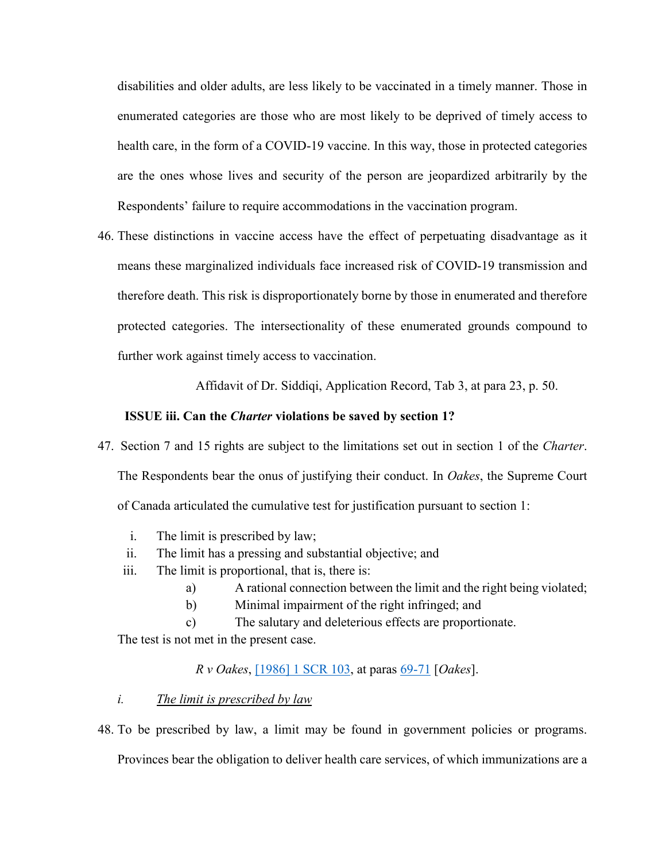disabilities and older adults, are less likely to be vaccinated in a timely manner. Those in enumerated categories are those who are most likely to be deprived of timely access to health care, in the form of a COVID-19 vaccine. In this way, those in protected categories are the ones whose lives and security of the person are jeopardized arbitrarily by the Respondents' failure to require accommodations in the vaccination program.

46. These distinctions in vaccine access have the effect of perpetuating disadvantage as it means these marginalized individuals face increased risk of COVID-19 transmission and therefore death. This risk is disproportionately borne by those in enumerated and therefore protected categories. The intersectionality of these enumerated grounds compound to further work against timely access to vaccination.

Affidavit of Dr. Siddiqi, Application Record, Tab 3, at para 23, p. 50.

#### **ISSUE iii. Can the** *Charter* **violations be saved by section 1?**

- <span id="page-20-0"></span>47. Section 7 and 15 rights are subject to the limitations set out in section 1 of the *Charter*. The Respondents bear the onus of justifying their conduct. In *Oakes*, the Supreme Court of Canada articulated the cumulative test for justification pursuant to section 1:
	- i. The limit is prescribed by law;
	- ii. The limit has a pressing and substantial objective; and
	- iii. The limit is proportional, that is, there is:
		- a) A rational connection between the limit and the right being violated;
		- b) Minimal impairment of the right infringed; and
		- c) The salutary and deleterious effects are proportionate.

The test is not met in the present case.

*R v Oakes*, [\[1986\] 1 SCR 103,](https://www.canlii.org/en/ca/scc/doc/1986/1986canlii46/1986canlii46.html?autocompleteStr=%5B1986%5D%201%20SCR%20103&autocompletePos=1) at paras [69-71](https://www.canlii.org/en/ca/scc/doc/1986/1986canlii46/1986canlii46.html?autocompleteStr=%5B1986%5D%201%20SCR%20103&autocompletePos=1#par69) [*Oakes*].

#### <span id="page-20-1"></span>*i. The limit is prescribed by law*

48. To be prescribed by law, a limit may be found in government policies or programs. Provinces bear the obligation to deliver health care services, of which immunizations are a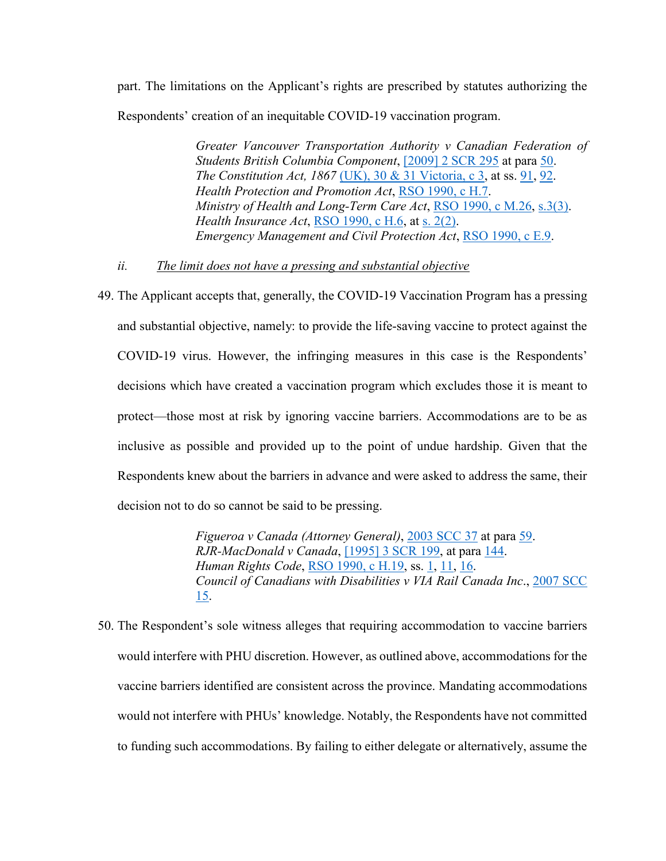part. The limitations on the Applicant's rights are prescribed by statutes authorizing the Respondents' creation of an inequitable COVID-19 vaccination program.

> *Greater Vancouver Transportation Authority v Canadian Federation of Students British Columbia Component*, [\[2009\] 2 SCR](https://www.canlii.org/en/ca/scc/doc/2009/2009scc31/2009scc31.html?autocompleteStr=%5B2009%5D%202%20S.C.R.%20295%20&autocompletePos=1) 295 at para [50.](https://www.canlii.org/en/ca/scc/doc/2009/2009scc31/2009scc31.html?autocompleteStr=%5B2009%5D%202%20S.C.R.%20295%20&autocompletePos=1#par50) *The Constitution Act, 1867* [\(UK\), 30 & 31 Victoria, c 3,](https://www.canlii.org/en/ca/laws/stat/30---31-vict-c-3/latest/30---31-vict-c-3.html?autocompleteStr=constitution%20Act%201867&autocompletePos=1) at ss. [91,](https://www.canlii.org/en/ca/laws/stat/30---31-vict-c-3/latest/30---31-vict-c-3.html?autocompleteStr=constitution%20Act%201867&autocompletePos=1#sec91) [92.](https://www.canlii.org/en/ca/laws/stat/30---31-vict-c-3/latest/30---31-vict-c-3.html?autocompleteStr=constitution%20Act%201867&autocompletePos=1#sec92) *Health Protection and Promotion Act*, RSO [1990, c](https://www.canlii.org/en/on/laws/stat/rso-1990-c-h7/latest/rso-1990-c-h7.html?autocompleteStr=Health%20Protection%20and%20Promotion%20Act&autocompletePos=1) H.7. *Ministry of Health and Long-Term Care Act*, [RSO 1990, c](https://www.canlii.org/en/on/laws/stat/rso-1990-c-m26/latest/rso-1990-c-m26.html?autocompleteStr=Ministry%20of%20Health%20and%20Long-Term%20Care%20Act&autocompletePos=2) M.26, [s.3\(3\).](https://www.canlii.org/en/on/laws/stat/rso-1990-c-m26/latest/rso-1990-c-m26.html?autocompleteStr=Ministry%20of%20Health%20and%20Long-Term%20Care%20Act&autocompletePos=2#sec3subsec3) *Health Insurance Act*, [RSO 1990, c](https://www.canlii.org/en/on/laws/stat/rso-1990-c-h6/latest/rso-1990-c-h6.html?autocompleteStr=Health%20insura&autocompletePos=2) H.6, at s. [2\(2\).](https://www.canlii.org/en/on/laws/stat/rso-1990-c-h6/latest/rso-1990-c-h6.html?autocompleteStr=Health%20insura&autocompletePos=2#sec2subsec2) *Emergency Management and Civil Protection Act*, RSO [1990, c](https://www.canlii.org/en/on/laws/stat/rso-1990-c-e9/latest/rso-1990-c-e9.html?autocompleteStr=emergency%20man&autocompletePos=1) E.9.

#### *ii. The limit does not have a pressing and substantial objective*

<span id="page-21-0"></span>49. The Applicant accepts that, generally, the COVID-19 Vaccination Program has a pressing and substantial objective, namely: to provide the life-saving vaccine to protect against the COVID-19 virus. However, the infringing measures in this case is the Respondents' decisions which have created a vaccination program which excludes those it is meant to protect—those most at risk by ignoring vaccine barriers. Accommodations are to be as inclusive as possible and provided up to the point of undue hardship. Given that the Respondents knew about the barriers in advance and were asked to address the same, their decision not to do so cannot be said to be pressing.

> *Figueroa v Canada (Attorney General)*, [2003 SCC 37](https://www.canlii.org/en/ca/scc/doc/2003/2003scc37/2003scc37.html?autocompleteStr=2003%20SCC%2037&autocompletePos=1) at para [59.](https://www.canlii.org/en/ca/scc/doc/2003/2003scc37/2003scc37.html?autocompleteStr=2003%20SCC%2037&autocompletePos=1#par59) *RJR-MacDonald v Canada*, [\[1995\] 3 SCR 199,](https://www.canlii.org/en/ca/scc/doc/1995/1995canlii64/1995canlii64.html?autocompleteStr=%5B1995%5D%203%20SCR%20199&autocompletePos=1) at para [144.](https://www.canlii.org/en/ca/scc/doc/1995/1995canlii64/1995canlii64.html?autocompleteStr=%5B1995%5D%203%20SCR%20199&autocompletePos=1#par144) *Human Rights Code*, RSO [1990, c](https://www.canlii.org/en/on/laws/stat/rso-1990-c-h19/latest/rso-1990-c-h19.html?autocompleteStr=human%20&autocompletePos=1) H.19, ss. [1,](https://canlii.ca/t/2fd#sec1) [11,](https://canlii.ca/t/2fd#sec11) [16.](https://canlii.ca/t/2fd#sec16) *Council of Canadians with Disabilities v VIA Rail Canada Inc*., [2007 SCC](https://www.canlii.org/en/ca/scc/doc/2007/2007scc15/2007scc15.html?autocompleteStr=2007%20SCC%2015&autocompletePos=1)  [15.](https://www.canlii.org/en/ca/scc/doc/2007/2007scc15/2007scc15.html?autocompleteStr=2007%20SCC%2015&autocompletePos=1)

50. The Respondent's sole witness alleges that requiring accommodation to vaccine barriers would interfere with PHU discretion. However, as outlined above, accommodations for the vaccine barriers identified are consistent across the province. Mandating accommodations would not interfere with PHUs' knowledge. Notably, the Respondents have not committed to funding such accommodations. By failing to either delegate or alternatively, assume the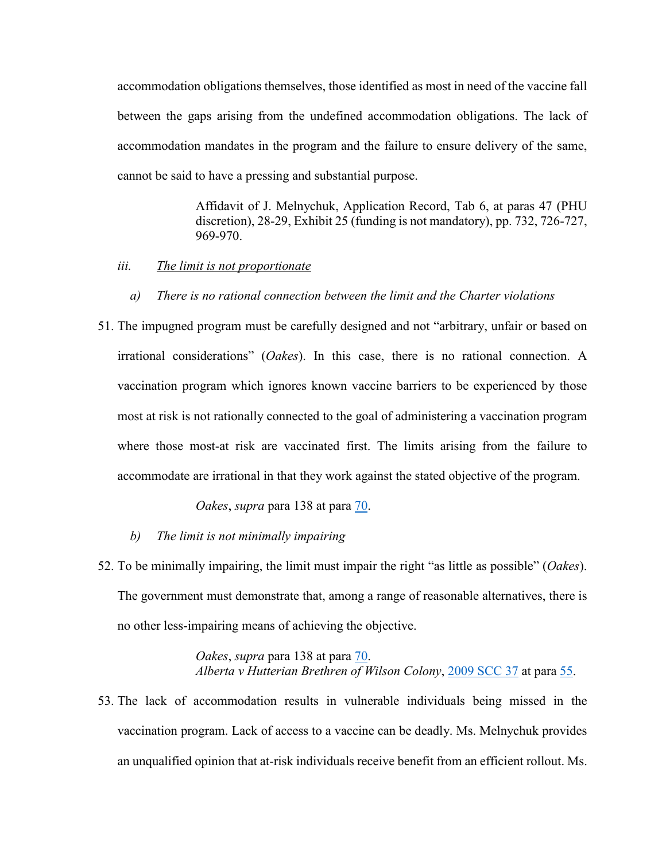accommodation obligations themselves, those identified as most in need of the vaccine fall between the gaps arising from the undefined accommodation obligations. The lack of accommodation mandates in the program and the failure to ensure delivery of the same, cannot be said to have a pressing and substantial purpose.

> Affidavit of J. Melnychuk, Application Record, Tab 6, at paras 47 (PHU discretion), 28-29, Exhibit 25 (funding is not mandatory), pp. 732, 726-727, 969-970.

- <span id="page-22-0"></span>*iii. The limit is not proportionate*
	- *a) There is no rational connection between the limit and the Charter violations*
- 51. The impugned program must be carefully designed and not "arbitrary, unfair or based on irrational considerations" (*Oakes*). In this case, there is no rational connection. A vaccination program which ignores known vaccine barriers to be experienced by those most at risk is not rationally connected to the goal of administering a vaccination program where those most-at risk are vaccinated first. The limits arising from the failure to accommodate are irrational in that they work against the stated objective of the program.

*Oakes*, *supra* para 138 at para [70.](https://www.canlii.org/en/ca/scc/doc/1986/1986canlii46/1986canlii46.html?autocompleteStr=%5B1986%5D%201%20SCR%20103&autocompletePos=1#par70)

- *b) The limit is not minimally impairing*
- 52. To be minimally impairing, the limit must impair the right "as little as possible" (*Oakes*). The government must demonstrate that, among a range of reasonable alternatives, there is no other less-impairing means of achieving the objective.

*Oakes*, *supra* para 138 at para [70.](https://www.canlii.org/en/ca/scc/doc/1986/1986canlii46/1986canlii46.html?autocompleteStr=%5B1986%5D%201%20SCR%20103&autocompletePos=1#par70) *Alberta v Hutterian Brethren of Wilson Colony*, [2009 SCC 37](https://www.canlii.org/en/ca/scc/doc/2009/2009scc37/2009scc37.html?autocompleteStr=2009%20SCC%2037%20&autocompletePos=1) at para [55.](https://www.canlii.org/en/ca/scc/doc/2009/2009scc37/2009scc37.html?autocompleteStr=2009%20SCC%2037%20&autocompletePos=1#par55)

53. The lack of accommodation results in vulnerable individuals being missed in the vaccination program. Lack of access to a vaccine can be deadly. Ms. Melnychuk provides an unqualified opinion that at-risk individuals receive benefit from an efficient rollout. Ms.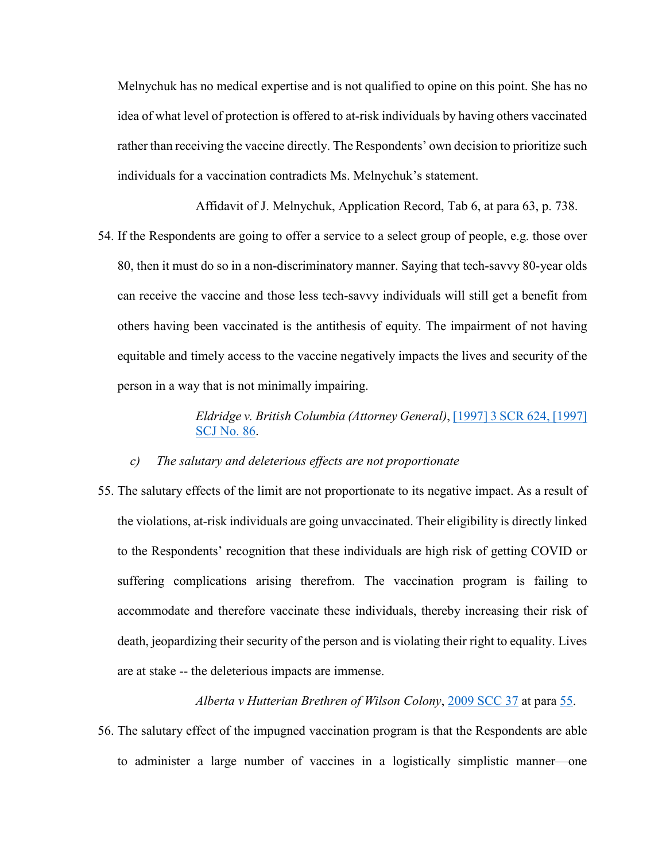Melnychuk has no medical expertise and is not qualified to opine on this point. She has no idea of what level of protection is offered to at-risk individuals by having others vaccinated rather than receiving the vaccine directly. The Respondents' own decision to prioritize such individuals for a vaccination contradicts Ms. Melnychuk's statement.

Affidavit of J. Melnychuk, Application Record, Tab 6, at para 63, p. 738.

54. If the Respondents are going to offer a service to a select group of people, e.g. those over 80, then it must do so in a non-discriminatory manner. Saying that tech-savvy 80-year olds can receive the vaccine and those less tech-savvy individuals will still get a benefit from others having been vaccinated is the antithesis of equity. The impairment of not having equitable and timely access to the vaccine negatively impacts the lives and security of the person in a way that is not minimally impairing.

#### *Eldridge v. British Columbia (Attorney General)*[, \[1997\] 3 SCR 624, \[1997\]](https://www.canlii.org/en/ca/scc/doc/1994/1994canlii27/1994canlii27.html?autocompleteStr=%5B1994%5D%203%20S.C.R.%20627&autocompletePos=1)  [SCJ No.](https://www.canlii.org/en/ca/scc/doc/1994/1994canlii27/1994canlii27.html?autocompleteStr=%5B1994%5D%203%20S.C.R.%20627&autocompletePos=1) 86.

#### *c) The salutary and deleterious effects are not proportionate*

55. The salutary effects of the limit are not proportionate to its negative impact. As a result of the violations, at-risk individuals are going unvaccinated. Their eligibility is directly linked to the Respondents' recognition that these individuals are high risk of getting COVID or suffering complications arising therefrom. The vaccination program is failing to accommodate and therefore vaccinate these individuals, thereby increasing their risk of death, jeopardizing their security of the person and is violating their right to equality. Lives are at stake -- the deleterious impacts are immense.

*Alberta v Hutterian Brethren of Wilson Colony*, [2009 SCC 37](https://www.canlii.org/en/ca/scc/doc/2009/2009scc37/2009scc37.html?autocompleteStr=2009%20SCC%2037%20&autocompletePos=1) at para [55.](https://www.canlii.org/en/ca/scc/doc/2009/2009scc37/2009scc37.html?autocompleteStr=2009%20SCC%2037%20&autocompletePos=1#par55)

56. The salutary effect of the impugned vaccination program is that the Respondents are able to administer a large number of vaccines in a logistically simplistic manner—one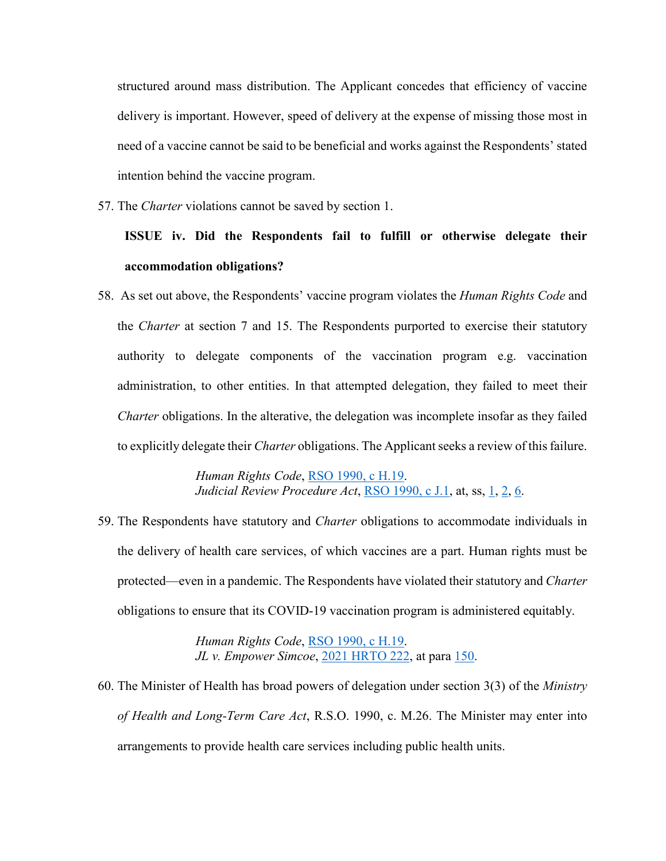structured around mass distribution. The Applicant concedes that efficiency of vaccine delivery is important. However, speed of delivery at the expense of missing those most in need of a vaccine cannot be said to be beneficial and works against the Respondents' stated intention behind the vaccine program.

<span id="page-24-0"></span>57. The *Charter* violations cannot be saved by section 1.

## **ISSUE iv. Did the Respondents fail to fulfill or otherwise delegate their accommodation obligations?**

58. As set out above, the Respondents' vaccine program violates the *Human Rights Code* and the *Charter* at section 7 and 15. The Respondents purported to exercise their statutory authority to delegate components of the vaccination program e.g. vaccination administration, to other entities. In that attempted delegation, they failed to meet their *Charter* obligations. In the alterative, the delegation was incomplete insofar as they failed to explicitly delegate their *Charter* obligations. The Applicant seeks a review of this failure.

> *Human Rights Code*, RSO [1990, c](https://www.canlii.org/en/on/laws/stat/rso-1990-c-h19/latest/rso-1990-c-h19.html?autocompleteStr=RSO%201990%2C%20c%20H.19&autocompletePos=1) H.19. *Judicial Review Procedure Act*, [RSO 1990, c J.1,](https://www.canlii.org/en/on/laws/stat/rso-1990-c-j1/latest/rso-1990-c-j1.html?autocompleteStr=RSO%201990%2C%20c%20J.1&autocompletePos=1) at, ss, [1,](https://www.canlii.org/en/on/laws/stat/rso-1990-c-j1/latest/rso-1990-c-j1.html?autocompleteStr=RSO%201990%2C%20c%20J.1&autocompletePos=1#sec1) [2,](https://www.canlii.org/en/on/laws/stat/rso-1990-c-j1/latest/rso-1990-c-j1.html?autocompleteStr=RSO%201990%2C%20c%20J.1&autocompletePos=1#sec2) [6.](https://www.canlii.org/en/on/laws/stat/rso-1990-c-j1/latest/rso-1990-c-j1.html?autocompleteStr=RSO%201990%2C%20c%20J.1&autocompletePos=1#sec6)

59. The Respondents have statutory and *Charter* obligations to accommodate individuals in the delivery of health care services, of which vaccines are a part. Human rights must be protected—even in a pandemic. The Respondents have violated their statutory and *Charter* obligations to ensure that its COVID-19 vaccination program is administered equitably.

> *Human Rights Code*, [RSO 1990, c](https://www.canlii.org/en/on/laws/stat/rso-1990-c-h19/latest/rso-1990-c-h19.html?autocompleteStr=RSO%201990%2C%20c%20H.19&autocompletePos=1) H.19. *JL v. Empower Simcoe*, [2021 HRTO 222,](https://www.canlii.org/en/on/onhrt/doc/2021/2021hrto222/2021hrto222.html?autocompleteStr=2021%20HRTO%20222&autocompletePos=1) at para [150.](https://www.canlii.org/en/on/onhrt/doc/2021/2021hrto222/2021hrto222.html?autocompleteStr=2021%20HRTO%20222&autocompletePos=1#par150)

60. The Minister of Health has broad powers of delegation under section 3(3) of the *Ministry of Health and Long-Term Care Act*, R.S.O. 1990, c. M.26. The Minister may enter into arrangements to provide health care services including public health units.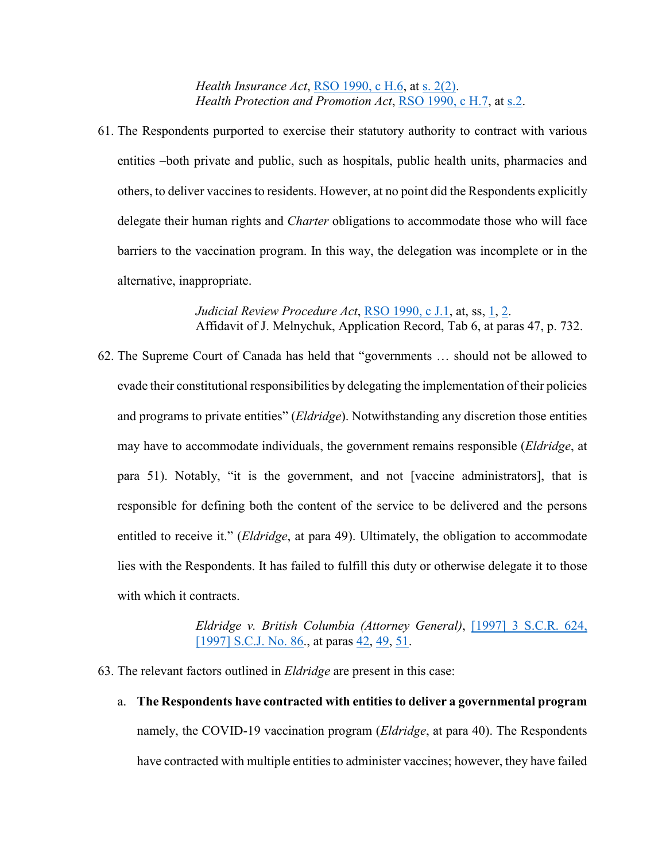*Health Insurance Act*, *RSO* 1990, *c H.6*, at *s.* [2\(2\).](https://www.canlii.org/en/on/laws/stat/rso-1990-c-h6/latest/rso-1990-c-h6.html?autocompleteStr=Health%20insura&autocompletePos=2#sec2subsec2) *Health Protection and Promotion Act*, RSO [1990, c H.7,](https://www.canlii.org/en/on/laws/stat/rso-1990-c-h7/latest/rso-1990-c-h7.html?autocompleteStr=Health%20Protection%20and%20Promotion%20Act&autocompletePos=1) at [s.2.](https://www.canlii.org/en/on/laws/stat/rso-1990-c-h7/latest/rso-1990-c-h7.html?autocompleteStr=Health%20Protection%20and%20Promotion%20Act&autocompletePos=1#sec2)

61. The Respondents purported to exercise their statutory authority to contract with various entities –both private and public, such as hospitals, public health units, pharmacies and others, to deliver vaccines to residents. However, at no point did the Respondents explicitly delegate their human rights and *Charter* obligations to accommodate those who will face barriers to the vaccination program. In this way, the delegation was incomplete or in the alternative, inappropriate.

> *Judicial Review Procedure Act*, [RSO 1990, c J.1,](https://www.canlii.org/en/on/laws/stat/rso-1990-c-j1/latest/rso-1990-c-j1.html?autocompleteStr=RSO%201990%2C%20c%20J.1&autocompletePos=1) at, ss, [1,](https://www.canlii.org/en/on/laws/stat/rso-1990-c-j1/latest/rso-1990-c-j1.html?autocompleteStr=RSO%201990%2C%20c%20J.1&autocompletePos=1#sec1) [2.](https://www.canlii.org/en/on/laws/stat/rso-1990-c-j1/latest/rso-1990-c-j1.html?autocompleteStr=RSO%201990%2C%20c%20J.1&autocompletePos=1#sec2) Affidavit of J. Melnychuk, Application Record, Tab 6, at paras 47, p. 732.

62. The Supreme Court of Canada has held that "governments … should not be allowed to evade their constitutional responsibilities by delegating the implementation of their policies and programs to private entities" (*Eldridge*). Notwithstanding any discretion those entities may have to accommodate individuals, the government remains responsible (*Eldridge*, at para 51). Notably, "it is the government, and not [vaccine administrators], that is responsible for defining both the content of the service to be delivered and the persons entitled to receive it." (*Eldridge*, at para 49). Ultimately, the obligation to accommodate lies with the Respondents. It has failed to fulfill this duty or otherwise delegate it to those with which it contracts.

> *Eldridge v. British Columbia (Attorney General)*, [\[1997\] 3 S.C.R.](https://www.canlii.org/en/ca/scc/doc/1997/1997canlii327/1997canlii327.html?autocompleteStr=%5B1997%5D%203%20S.C.R.%20624&autocompletePos=1) 624, [\[1997\] S.C.J.](https://www.canlii.org/en/ca/scc/doc/1997/1997canlii327/1997canlii327.html?autocompleteStr=%5B1997%5D%203%20S.C.R.%20624&autocompletePos=1) No. 86., at paras [42,](https://www.canlii.org/en/ca/scc/doc/1997/1997canlii327/1997canlii327.html?autocompleteStr=%5B1997%5D%203%20S.C.R.%20624&autocompletePos=1#par42) [49,](https://www.canlii.org/en/ca/scc/doc/1997/1997canlii327/1997canlii327.html?autocompleteStr=%5B1997%5D%203%20S.C.R.%20624&autocompletePos=1#par49) [51.](https://www.canlii.org/en/ca/scc/doc/1997/1997canlii327/1997canlii327.html?autocompleteStr=%5B1997%5D%203%20S.C.R.%20624&autocompletePos=1#par51)

- 63. The relevant factors outlined in *Eldridge* are present in this case:
	- a. **The Respondents have contracted with entities to deliver a governmental program**  namely, the COVID-19 vaccination program (*Eldridge*, at para 40). The Respondents have contracted with multiple entities to administer vaccines; however, they have failed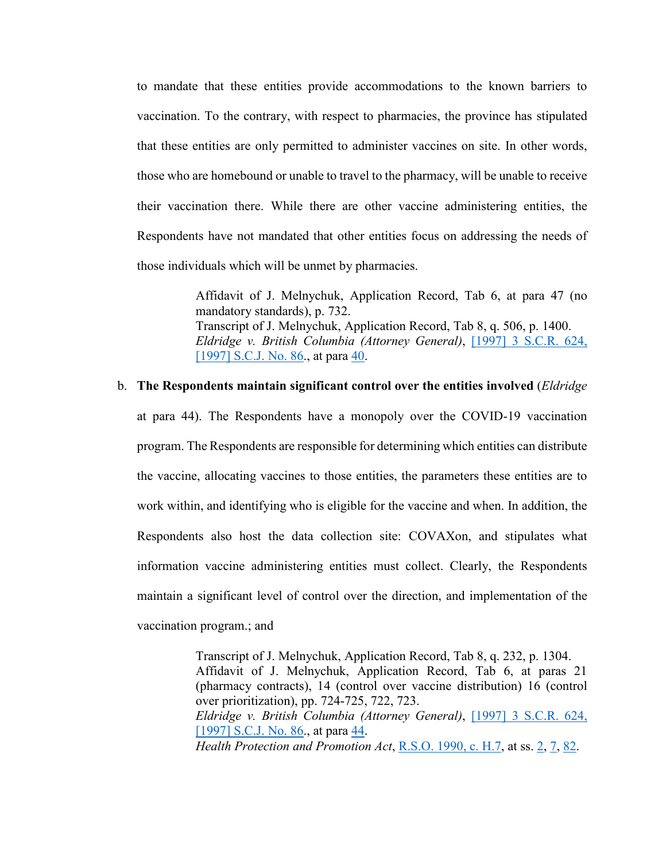to mandate that these entities provide accommodations to the known barriers to vaccination. To the contrary, with respect to pharmacies, the province has stipulated that these entities are only permitted to administer vaccines on site. In other words, those who are homebound or unable to travel to the pharmacy, will be unable to receive their vaccination there. While there are other vaccine administering entities, the Respondents have not mandated that other entities focus on addressing the needs of those individuals which will be unmet by pharmacies.

> Affidavit of J. Melnychuk, Application Record, Tab 6, at para 47 (no mandatory standards), p. 732. Transcript of J. Melnychuk, Application Record, Tab 8, q. 506, p. 1400. *Eldridge v. British Columbia (Attorney General)*, [\[1997\] 3 S.C.R.](https://www.canlii.org/en/ca/scc/doc/1997/1997canlii327/1997canlii327.html?autocompleteStr=%5B1997%5D%203%20S.C.R.%20624&autocompletePos=1) 624, [\[1997\] S.C.J.](https://www.canlii.org/en/ca/scc/doc/1997/1997canlii327/1997canlii327.html?autocompleteStr=%5B1997%5D%203%20S.C.R.%20624&autocompletePos=1) No. 86., at para [40.](https://www.canlii.org/en/ca/scc/doc/1997/1997canlii327/1997canlii327.html?autocompleteStr=%5B1997%5D%203%20S.C.R.%20624&autocompletePos=1#par40)

# b. **The Respondents maintain significant control over the entities involved** (*Eldridge* at para 44). The Respondents have a monopoly over the COVID-19 vaccination program. The Respondents are responsible for determining which entities can distribute the vaccine, allocating vaccines to those entities, the parameters these entities are to work within, and identifying who is eligible for the vaccine and when. In addition, the Respondents also host the data collection site: COVAXon, and stipulates what information vaccine administering entities must collect. Clearly, the Respondents maintain a significant level of control over the direction, and implementation of the vaccination program.; and

Transcript of J. Melnychuk, Application Record, Tab 8, q. 232, p. 1304. Affidavit of J. Melnychuk, Application Record, Tab 6, at paras 21 (pharmacy contracts), 14 (control over vaccine distribution) 16 (control over prioritization), pp. 724-725, 722, 723. *Eldridge v. British Columbia (Attorney General)*, [\[1997\] 3 S.C.R.](https://www.canlii.org/en/ca/scc/doc/1997/1997canlii327/1997canlii327.html?autocompleteStr=%5B1997%5D%203%20S.C.R.%20624&autocompletePos=1) 624, [\[1997\] S.C.J.](https://www.canlii.org/en/ca/scc/doc/1997/1997canlii327/1997canlii327.html?autocompleteStr=%5B1997%5D%203%20S.C.R.%20624&autocompletePos=1) No. 86., at para [44.](https://www.canlii.org/en/ca/scc/doc/1997/1997canlii327/1997canlii327.html?autocompleteStr=%5B1997%5D%203%20S.C.R.%20624&autocompletePos=1#par44) *Health Protection and Promotion Act*, **R.S.O.** [1990, c.](https://www.canlii.org/en/on/laws/stat/rso-1990-c-h7/latest/rso-1990-c-h7.html?autocompleteStr=Health%20Protection%20and%20Promotion%20Act&autocompletePos=1) H.7, at ss. [2,](https://www.canlii.org/en/on/laws/stat/rso-1990-c-h7/latest/rso-1990-c-h7.html?autocompleteStr=Health%20Protection%20and%20Promotion%20Act&autocompletePos=1#sec2) [7,](https://www.canlii.org/en/on/laws/stat/rso-1990-c-h7/latest/rso-1990-c-h7.html?autocompleteStr=Health%20Protection%20and%20Promotion%20Act&autocompletePos=1#sec7) [82.](https://www.canlii.org/en/on/laws/stat/rso-1990-c-h7/latest/rso-1990-c-h7.html?autocompleteStr=Health%20Protection%20and%20Promotion%20Act&autocompletePos=1#sec82)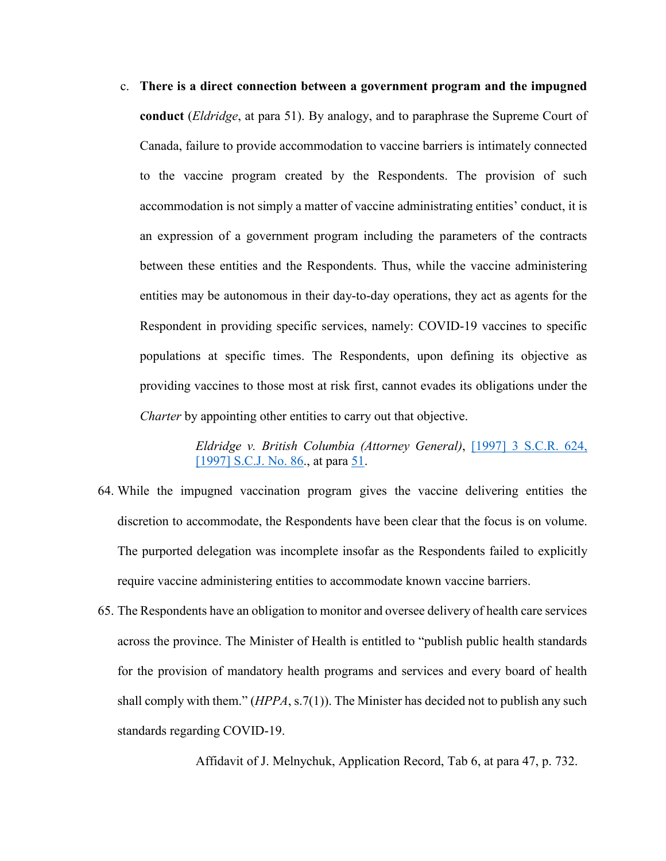c. **There is a direct connection between a government program and the impugned conduct** (*Eldridge*, at para 51). By analogy, and to paraphrase the Supreme Court of Canada, failure to provide accommodation to vaccine barriers is intimately connected to the vaccine program created by the Respondents. The provision of such accommodation is not simply a matter of vaccine administrating entities' conduct, it is an expression of a government program including the parameters of the contracts between these entities and the Respondents. Thus, while the vaccine administering entities may be autonomous in their day-to-day operations, they act as agents for the Respondent in providing specific services, namely: COVID-19 vaccines to specific populations at specific times. The Respondents, upon defining its objective as providing vaccines to those most at risk first, cannot evades its obligations under the *Charter* by appointing other entities to carry out that objective.

> *Eldridge v. British Columbia (Attorney General)*, [\[1997\] 3 S.C.R.](https://www.canlii.org/en/ca/scc/doc/1997/1997canlii327/1997canlii327.html?autocompleteStr=%5B1997%5D%203%20S.C.R.%20624&autocompletePos=1) 624, [\[1997\] S.C.J.](https://www.canlii.org/en/ca/scc/doc/1997/1997canlii327/1997canlii327.html?autocompleteStr=%5B1997%5D%203%20S.C.R.%20624&autocompletePos=1) No. 86., at para [51.](https://www.canlii.org/en/ca/scc/doc/1997/1997canlii327/1997canlii327.html?autocompleteStr=%5B1997%5D%203%20S.C.R.%20624&autocompletePos=1#par51)

- 64. While the impugned vaccination program gives the vaccine delivering entities the discretion to accommodate, the Respondents have been clear that the focus is on volume. The purported delegation was incomplete insofar as the Respondents failed to explicitly require vaccine administering entities to accommodate known vaccine barriers.
- 65. The Respondents have an obligation to monitor and oversee delivery of health care services across the province. The Minister of Health is entitled to "publish public health standards for the provision of mandatory health programs and services and every board of health shall comply with them." (*HPPA*, s.7(1)). The Minister has decided not to publish any such standards regarding COVID-19.

Affidavit of J. Melnychuk, Application Record, Tab 6, at para 47, p. 732.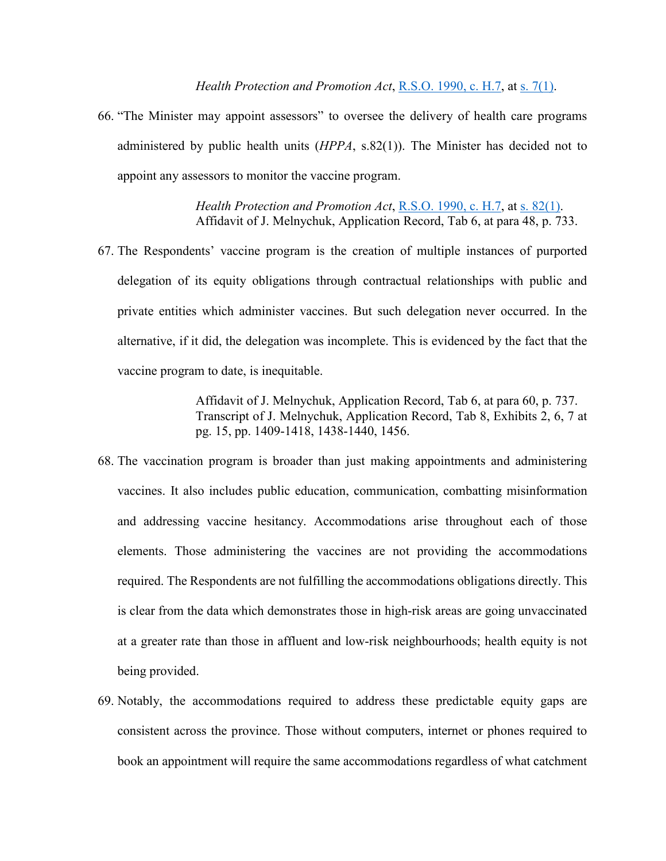66. "The Minister may appoint assessors" to oversee the delivery of health care programs administered by public health units (*HPPA*, s.82(1)). The Minister has decided not to appoint any assessors to monitor the vaccine program.

> *Health Protection and Promotion Act*, R.S.O. [1990, c.](https://www.canlii.org/en/on/laws/stat/rso-1990-c-h7/latest/rso-1990-c-h7.html?autocompleteStr=Health%20Protection%20and%20Promotion%20Act&autocompletePos=1) H.7, at s. [82\(1\).](https://www.canlii.org/en/on/laws/stat/rso-1990-c-h7/latest/rso-1990-c-h7.html?autocompleteStr=Health%20Protection%20and%20Promotion%20Act&autocompletePos=1#sec82subsec1) Affidavit of J. Melnychuk, Application Record, Tab 6, at para 48, p. 733.

67. The Respondents' vaccine program is the creation of multiple instances of purported delegation of its equity obligations through contractual relationships with public and private entities which administer vaccines. But such delegation never occurred. In the alternative, if it did, the delegation was incomplete. This is evidenced by the fact that the vaccine program to date, is inequitable.

> Affidavit of J. Melnychuk, Application Record, Tab 6, at para 60, p. 737. Transcript of J. Melnychuk, Application Record, Tab 8, Exhibits 2, 6, 7 at pg. 15, pp. 1409-1418, 1438-1440, 1456.

- 68. The vaccination program is broader than just making appointments and administering vaccines. It also includes public education, communication, combatting misinformation and addressing vaccine hesitancy. Accommodations arise throughout each of those elements. Those administering the vaccines are not providing the accommodations required. The Respondents are not fulfilling the accommodations obligations directly. This is clear from the data which demonstrates those in high-risk areas are going unvaccinated at a greater rate than those in affluent and low-risk neighbourhoods; health equity is not being provided.
- 69. Notably, the accommodations required to address these predictable equity gaps are consistent across the province. Those without computers, internet or phones required to book an appointment will require the same accommodations regardless of what catchment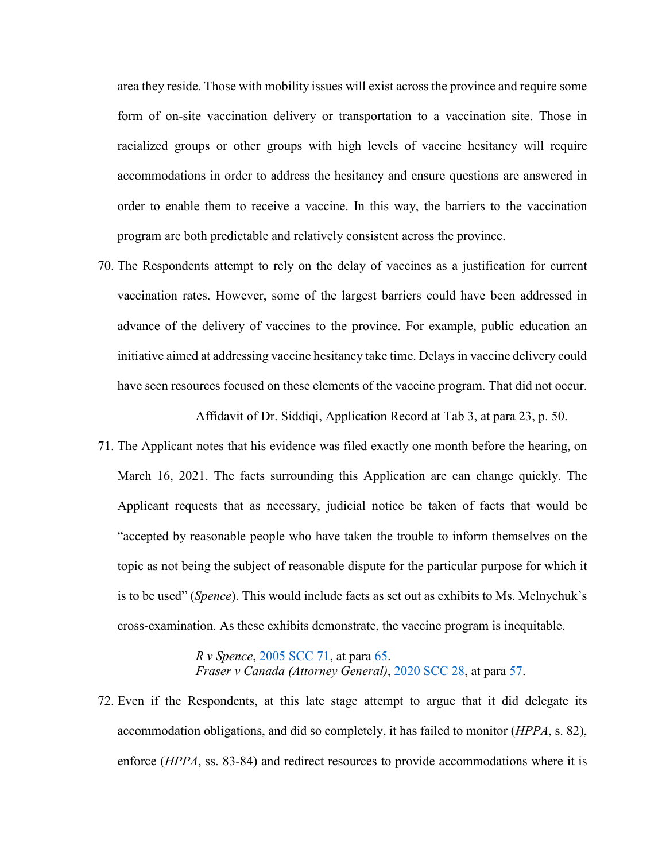area they reside. Those with mobility issues will exist across the province and require some form of on-site vaccination delivery or transportation to a vaccination site. Those in racialized groups or other groups with high levels of vaccine hesitancy will require accommodations in order to address the hesitancy and ensure questions are answered in order to enable them to receive a vaccine. In this way, the barriers to the vaccination program are both predictable and relatively consistent across the province.

70. The Respondents attempt to rely on the delay of vaccines as a justification for current vaccination rates. However, some of the largest barriers could have been addressed in advance of the delivery of vaccines to the province. For example, public education an initiative aimed at addressing vaccine hesitancy take time. Delays in vaccine delivery could have seen resources focused on these elements of the vaccine program. That did not occur.

Affidavit of Dr. Siddiqi, Application Record at Tab 3, at para 23, p. 50.

71. The Applicant notes that his evidence was filed exactly one month before the hearing, on March 16, 2021. The facts surrounding this Application are can change quickly. The Applicant requests that as necessary, judicial notice be taken of facts that would be "accepted by reasonable people who have taken the trouble to inform themselves on the topic as not being the subject of reasonable dispute for the particular purpose for which it is to be used" (*Spence*). This would include facts as set out as exhibits to Ms. Melnychuk's cross-examination. As these exhibits demonstrate, the vaccine program is inequitable.

> *R v Spence*, [2005 SCC 71,](https://www.canlii.org/en/ca/scc/doc/2005/2005scc71/2005scc71.html?autocompleteStr=2005%20SCC%2071&autocompletePos=1) at para [65.](https://www.canlii.org/en/ca/scc/doc/2005/2005scc71/2005scc71.html?autocompleteStr=2005%20SCC%2071&autocompletePos=1#par65) *Fraser v Canada (Attorney General)*, [2020 SCC 28,](https://www.canlii.org/en/ca/scc/doc/2020/2020scc28/2020scc28.html?autocompleteStr=2020%20SCC%2028&autocompletePos=1) at para [57.](https://www.canlii.org/en/ca/scc/doc/2020/2020scc28/2020scc28.html?autocompleteStr=2020%20SCC%2028&autocompletePos=1#par57)

72. Even if the Respondents, at this late stage attempt to argue that it did delegate its accommodation obligations, and did so completely, it has failed to monitor (*HPPA*, s. 82), enforce (*HPPA*, ss. 83-84) and redirect resources to provide accommodations where it is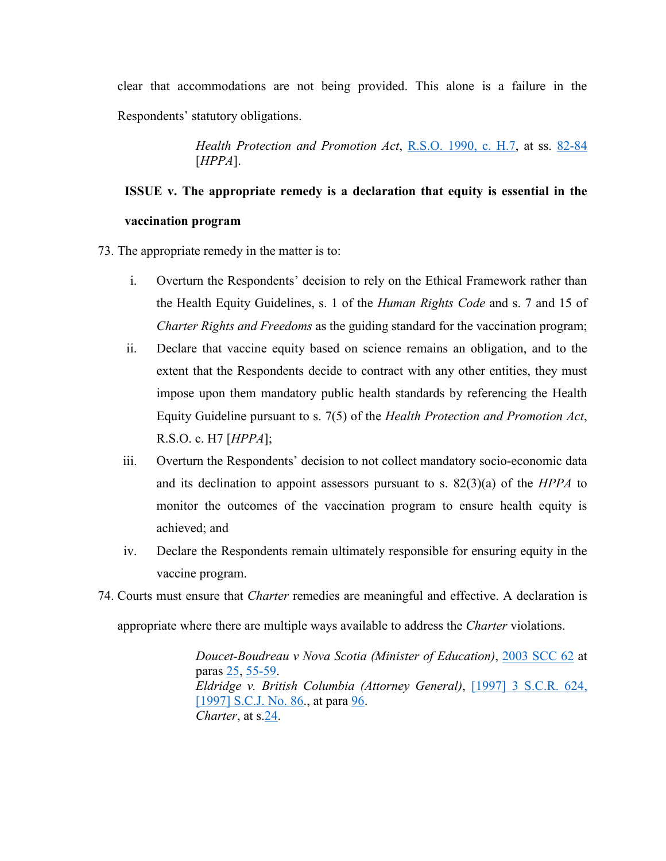clear that accommodations are not being provided. This alone is a failure in the Respondents' statutory obligations.

> *Health Protection and Promotion Act*, R.S.O. [1990, c.](https://www.canlii.org/en/on/laws/stat/rso-1990-c-h7/latest/rso-1990-c-h7.html?autocompleteStr=Health%20Protection%20and%20Promotion%20Act&autocompletePos=1) H.7, at ss. [82-84](https://www.canlii.org/en/on/laws/stat/rso-1990-c-h7/latest/rso-1990-c-h7.html?autocompleteStr=Health%20Protection%20and%20Promotion%20Act&autocompletePos=1#sec82) [*HPPA*].

## <span id="page-30-0"></span>**ISSUE v. The appropriate remedy is a declaration that equity is essential in the vaccination program**

73. The appropriate remedy in the matter is to:

- i. Overturn the Respondents' decision to rely on the Ethical Framework rather than the Health Equity Guidelines, s. 1 of the *Human Rights Code* and s. 7 and 15 of *Charter Rights and Freedoms* as the guiding standard for the vaccination program;
- ii. Declare that vaccine equity based on science remains an obligation, and to the extent that the Respondents decide to contract with any other entities, they must impose upon them mandatory public health standards by referencing the Health Equity Guideline pursuant to s. 7(5) of the *Health Protection and Promotion Act*, R.S.O. c. H7 [*HPPA*];
- iii. Overturn the Respondents' decision to not collect mandatory socio-economic data and its declination to appoint assessors pursuant to s. 82(3)(a) of the *HPPA* to monitor the outcomes of the vaccination program to ensure health equity is achieved; and
- iv. Declare the Respondents remain ultimately responsible for ensuring equity in the vaccine program.
- 74. Courts must ensure that *Charter* remedies are meaningful and effective. A declaration is appropriate where there are multiple ways available to address the *Charter* violations.

*Doucet-Boudreau v Nova Scotia (Minister of Education)*, [2003 SCC 62](https://www.canlii.org/en/ca/scc/doc/2003/2003scc62/2003scc62.html?autocompleteStr=2003%20SCC%2062%20&autocompletePos=1) at paras [25,](https://www.canlii.org/en/ca/scc/doc/2003/2003scc62/2003scc62.html?autocompleteStr=2003%20SCC%2062%20&autocompletePos=1#par25) [55-59.](https://www.canlii.org/en/ca/scc/doc/2003/2003scc62/2003scc62.html?autocompleteStr=2003%20SCC%2062%20&autocompletePos=1#par55) *Eldridge v. British Columbia (Attorney General)*, [\[1997\] 3 S.C.R.](https://www.canlii.org/en/ca/scc/doc/1997/1997canlii327/1997canlii327.html?autocompleteStr=%5B1997%5D%203%20S.C.R.%20624&autocompletePos=1) 624, [\[1997\] S.C.J.](https://www.canlii.org/en/ca/scc/doc/1997/1997canlii327/1997canlii327.html?autocompleteStr=%5B1997%5D%203%20S.C.R.%20624&autocompletePos=1) No. 86., at para [96.](https://www.canlii.org/en/ca/scc/doc/1997/1997canlii327/1997canlii327.html?autocompleteStr=%5B1997%5D%203%20S.C.R.%20624&autocompletePos=1#par96) *Charter*, at s[.24.](https://canlii.ca/t/8q7l#sec24)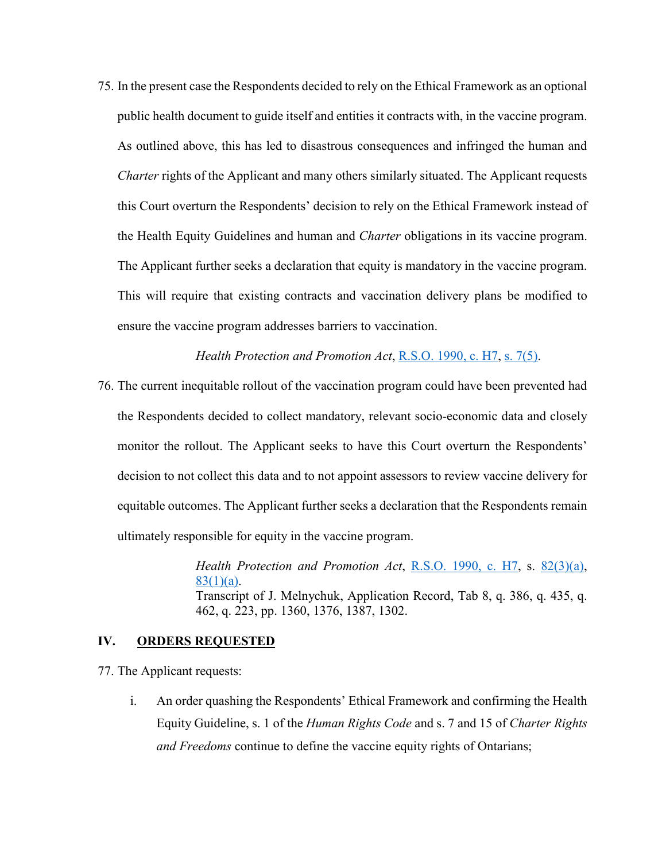75. In the present case the Respondents decided to rely on the Ethical Framework as an optional public health document to guide itself and entities it contracts with, in the vaccine program. As outlined above, this has led to disastrous consequences and infringed the human and *Charter* rights of the Applicant and many others similarly situated. The Applicant requests this Court overturn the Respondents' decision to rely on the Ethical Framework instead of the Health Equity Guidelines and human and *Charter* obligations in its vaccine program. The Applicant further seeks a declaration that equity is mandatory in the vaccine program. This will require that existing contracts and vaccination delivery plans be modified to ensure the vaccine program addresses barriers to vaccination.

#### *Health Protection and Promotion Act*, R.S.O. [1990, c.](https://www.canlii.org/en/on/laws/stat/rso-1990-c-h7/latest/rso-1990-c-h7.html?autocompleteStr=Health%20Protection%20and%20Promotion%20Act&autocompletePos=1) H7, s. [7\(5\).](https://www.canlii.org/en/on/laws/stat/rso-1990-c-h7/latest/rso-1990-c-h7.html?autocompleteStr=Health%20Protection%20and%20Promotion%20Act&autocompletePos=1#sec7subsec5)

76. The current inequitable rollout of the vaccination program could have been prevented had the Respondents decided to collect mandatory, relevant socio-economic data and closely monitor the rollout. The Applicant seeks to have this Court overturn the Respondents' decision to not collect this data and to not appoint assessors to review vaccine delivery for equitable outcomes. The Applicant further seeks a declaration that the Respondents remain ultimately responsible for equity in the vaccine program.

> *Health Protection and Promotion Act*, [R.S.O.](https://www.canlii.org/en/on/laws/stat/rso-1990-c-h7/latest/rso-1990-c-h7.html?autocompleteStr=Health%20Protection%20and%20Promotion%20Act&autocompletePos=1) 1990, c. H7, s. [82\(3\)\(a\),](https://www.canlii.org/en/on/laws/stat/rso-1990-c-h7/latest/rso-1990-c-h7.html?autocompleteStr=Health%20Protection%20and%20Promotion%20Act&autocompletePos=1#sec82subsec3subseca) [83\(1\)\(a\).](https://www.canlii.org/en/on/laws/stat/rso-1990-c-h7/latest/rso-1990-c-h7.html?autocompleteStr=Health%20Protection%20and%20Promotion%20Act&autocompletePos=1#sec83subsec1subseca) Transcript of J. Melnychuk, Application Record, Tab 8, q. 386, q. 435, q. 462, q. 223, pp. 1360, 1376, 1387, 1302.

#### <span id="page-31-0"></span>**IV. ORDERS REQUESTED**

77. The Applicant requests:

i. An order quashing the Respondents' Ethical Framework and confirming the Health Equity Guideline, s. 1 of the *Human Rights Code* and s. 7 and 15 of *Charter Rights and Freedoms* continue to define the vaccine equity rights of Ontarians;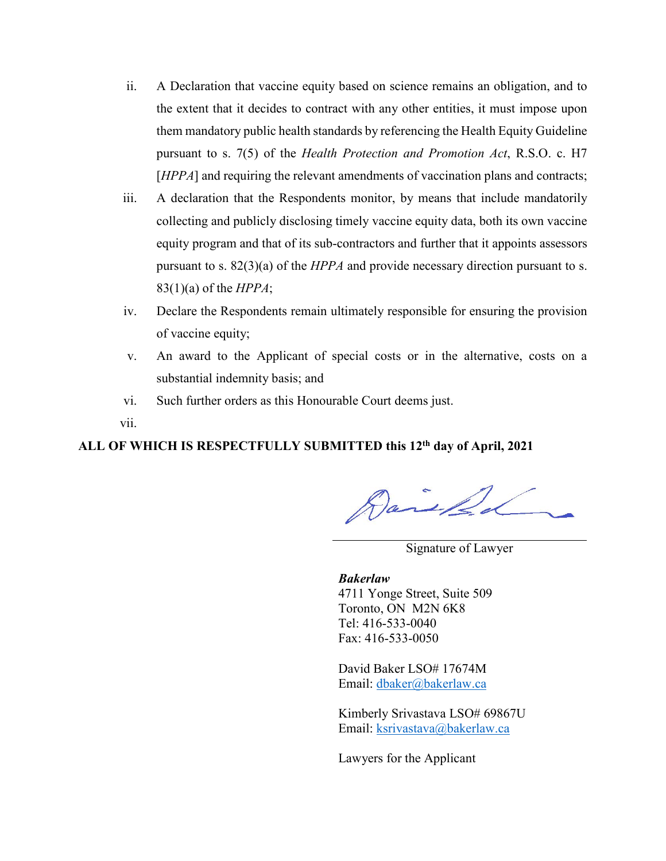- ii. A Declaration that vaccine equity based on science remains an obligation, and to the extent that it decides to contract with any other entities, it must impose upon them mandatory public health standards by referencing the Health Equity Guideline pursuant to s. 7(5) of the *Health Protection and Promotion Act*, R.S.O. c. H7 [*HPPA*] and requiring the relevant amendments of vaccination plans and contracts;
- iii. A declaration that the Respondents monitor, by means that include mandatorily collecting and publicly disclosing timely vaccine equity data, both its own vaccine equity program and that of its sub-contractors and further that it appoints assessors pursuant to s. 82(3)(a) of the *HPPA* and provide necessary direction pursuant to s. 83(1)(a) of the *HPPA*;
- iv. Declare the Respondents remain ultimately responsible for ensuring the provision of vaccine equity;
- v. An award to the Applicant of special costs or in the alternative, costs on a substantial indemnity basis; and
- vi. Such further orders as this Honourable Court deems just.

vii.

### **ALL OF WHICH IS RESPECTFULLY SUBMITTED this 12th day of April, 2021**

Daniel

Signature of Lawyer

*Bakerlaw* 4711 Yonge Street, Suite 509 Toronto, ON M2N 6K8 Tel: 416-533-0040 Fax: 416-533-0050

David Baker LSO# 17674M Email: dbaker@bakerlaw.ca

Kimberly Srivastava LSO# 69867U Email: [ksrivastava@bakerlaw.ca](mailto:ksrivastava@bakerlaw.ca)

Lawyers for the Applicant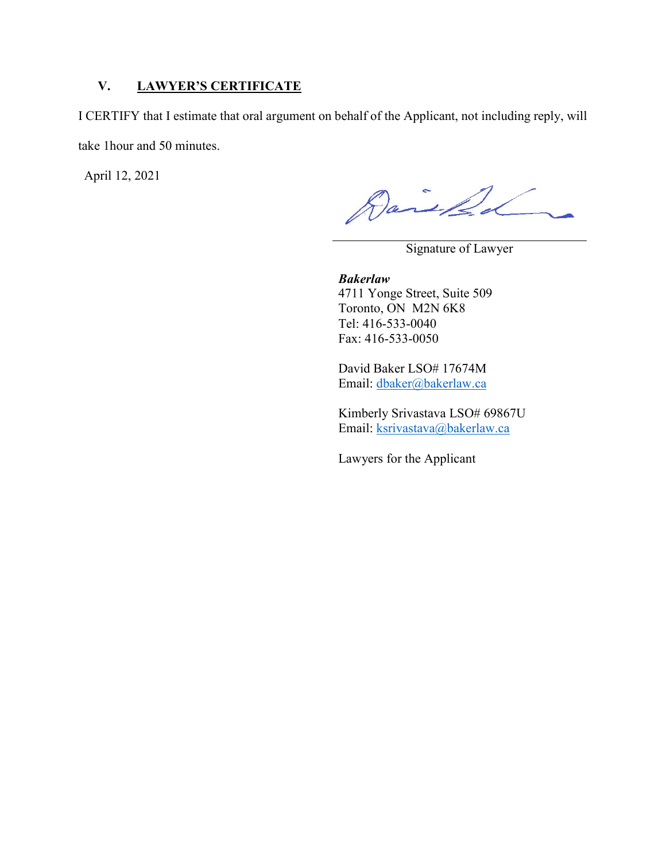#### <span id="page-33-0"></span>**V. LAWYER'S CERTIFICATE**

I CERTIFY that I estimate that oral argument on behalf of the Applicant, not including reply, will take 1hour and 50 minutes.

April 12, 2021

Daniel

Signature of Lawyer

*Bakerlaw* 4711 Yonge Street, Suite 509 Toronto, ON M2N 6K8 Tel: 416-533-0040 Fax: 416-533-0050

David Baker LSO# 17674M Email: [dbaker@bakerlaw.ca](mailto:dbaker@bakerlaw.ca) 

Kimberly Srivastava LSO# 69867U Email: [ksrivastava@bakerlaw.ca](mailto:ksrivastava@bakerlaw.ca)

Lawyers for the Applicant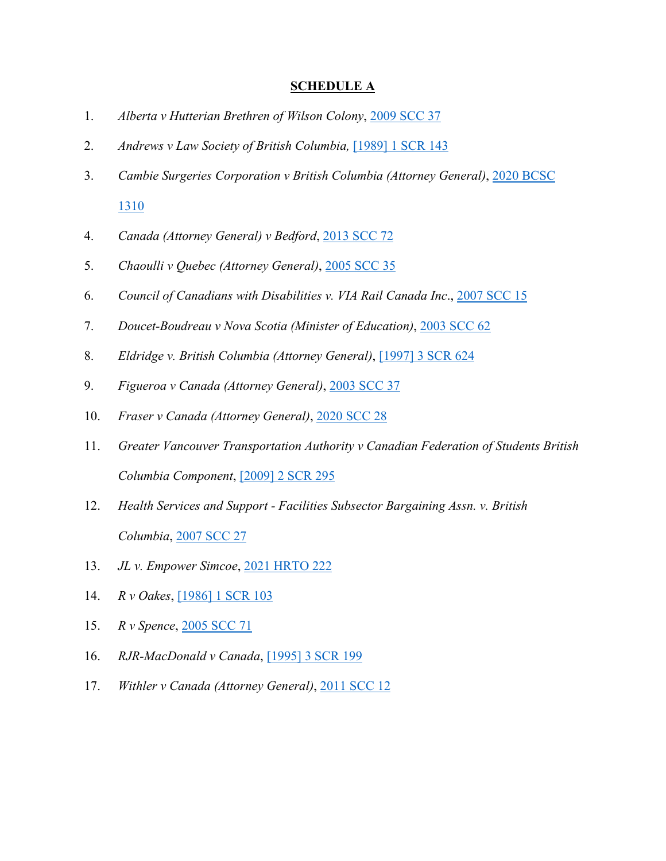#### **SCHEDULE A**

- <span id="page-34-0"></span>1. *Alberta v Hutterian Brethren of Wilson Colony*, [2009 SCC 37](https://www.canlii.org/en/ca/scc/doc/2009/2009scc37/2009scc37.html?autocompleteStr=2009%20SCC%2037%20&autocompletePos=1)
- 2. *Andrews v Law Society of British Columbia,* [\[1989\] 1 SCR 143](https://www.canlii.org/en/ca/scc/doc/1989/1989canlii2/1989canlii2.html?autocompleteStr=%5B1989%5D%2C%201%20SCR%20143&autocompletePos=1)
- 3. *Cambie Surgeries Corporation v British Columbia (Attorney General)*, [2020 BCSC](https://www.canlii.org/en/bc/bcsc/doc/2020/2020bcsc1310/2020bcsc1310.html?autocompleteStr=2020%20BCSC%201310&autocompletePos=1)  [1310](https://www.canlii.org/en/bc/bcsc/doc/2020/2020bcsc1310/2020bcsc1310.html?autocompleteStr=2020%20BCSC%201310&autocompletePos=1)
- 4. *Canada (Attorney General) v Bedford*, [2013 SCC 72](https://www.canlii.org/en/ca/scc/doc/2013/2013scc72/2013scc72.html?autocompleteStr=2013%20SCC%2072&autocompletePos=1)
- 5. *Chaoulli v Quebec (Attorney General)*, [2005 SCC 35](https://www.canlii.org/en/ca/scc/doc/2005/2005scc35/2005scc35.html?autocompleteStr=2005%20SCC%2035&autocompletePos=1)
- 6. *Council of Canadians with Disabilities v. VIA Rail Canada Inc*., [2007 SCC 15](https://www.canlii.org/en/ca/scc/doc/2007/2007scc15/2007scc15.html?autocompleteStr=2007%20SCC%2015&autocompletePos=1)
- 7. *Doucet-Boudreau v Nova Scotia (Minister of Education)*, [2003 SCC 62](https://www.canlii.org/en/ca/scc/doc/2003/2003scc62/2003scc62.html?autocompleteStr=2003%20SCC%2062%20&autocompletePos=1)
- 8. *Eldridge v. British Columbia (Attorney General)*, [\[1997\] 3 SCR](https://www.canlii.org/en/ca/scc/doc/1997/1997canlii327/1997canlii327.html?autocompleteStr=%5B1997%5D%203%20S.C.R.%20624&autocompletePos=1) 624
- 9. *Figueroa v Canada (Attorney General)*, [2003 SCC 37](https://www.canlii.org/en/ca/scc/doc/2003/2003scc37/2003scc37.html?autocompleteStr=2003%20SCC%2037&autocompletePos=1)
- 10. *Fraser v Canada (Attorney General)*, [2020 SCC 28](https://www.canlii.org/en/ca/scc/doc/2020/2020scc28/2020scc28.html?autocompleteStr=2020%20SCC%2028&autocompletePos=1)
- 11. *Greater Vancouver Transportation Authority v Canadian Federation of Students British Columbia Component*, [\[2009\] 2 SCR](https://www.canlii.org/en/ca/scc/doc/2009/2009scc31/2009scc31.html?autocompleteStr=%5B2009%5D%202%20S.C.R.%20295%20&autocompletePos=1) 295
- 12. *Health Services and Support - Facilities Subsector Bargaining Assn. v. British Columbia*, [2007 SCC 27](https://www.canlii.org/en/ca/scc/doc/2007/2007scc27/2007scc27.html?autocompleteStr=2007%20SCC%2027&autocompletePos=1)
- 13. *JL v. Empower Simcoe*, [2021 HRTO 222](https://www.canlii.org/en/on/onhrt/doc/2021/2021hrto222/2021hrto222.html?autocompleteStr=2021%20HRTO%20222&autocompletePos=1)
- 14. *R v Oakes*, [\[1986\] 1 SCR 103](https://www.canlii.org/en/ca/scc/doc/1986/1986canlii46/1986canlii46.html?autocompleteStr=%5B1986%5D%201%20SCR%20103&autocompletePos=1)
- 15. *R v Spence*, [2005 SCC 71](https://www.canlii.org/en/ca/scc/doc/2005/2005scc71/2005scc71.html?autocompleteStr=2005%20SCC%2071&autocompletePos=1)
- 16. *RJR-MacDonald v Canada*, [\[1995\] 3 SCR 199](https://www.canlii.org/en/ca/scc/doc/1995/1995canlii64/1995canlii64.html?autocompleteStr=%5B1995%5D%203%20SCR%20199&autocompletePos=1)
- 17. *Withler v Canada (Attorney General)*, [2011 SCC 12](https://www.canlii.org/en/ca/scc/doc/2011/2011scc12/2011scc12.html?autocompleteStr=2011%20SCC%2012&autocompletePos=1)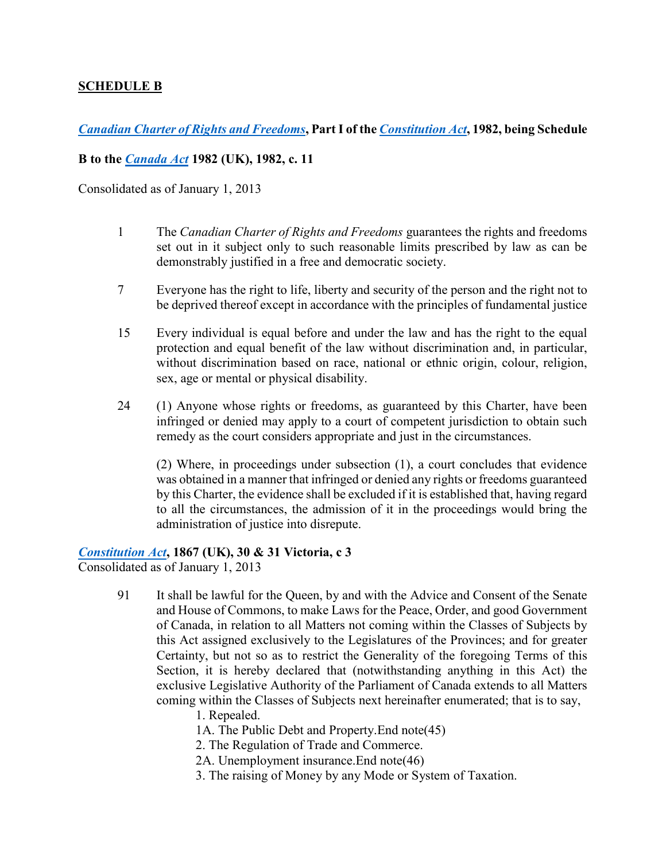#### <span id="page-35-0"></span>**SCHEDULE B**

*Canadian Charter of [Rights and Freedoms](https://laws-lois.justice.gc.ca/eng/Const/page-12.html)***, Part I of the** *[Constitution Act](https://laws-lois.justice.gc.ca/eng/Const/page-12.html#h-39)***, 1982, being Schedule** 

#### **B to the** *[Canada Act](https://laws-lois.justice.gc.ca/eng/Const/page-11.html#h-38)* **1982 (UK), 1982, c. 11**

Consolidated as of January 1, 2013

- 1 The *Canadian Charter of Rights and Freedoms* guarantees the rights and freedoms set out in it subject only to such reasonable limits prescribed by law as can be demonstrably justified in a free and democratic society.
- 7 Everyone has the right to life, liberty and security of the person and the right not to be deprived thereof except in accordance with the principles of fundamental justice
- 15 Every individual is equal before and under the law and has the right to the equal protection and equal benefit of the law without discrimination and, in particular, without discrimination based on race, national or ethnic origin, colour, religion, sex, age or mental or physical disability.
- 24 (1) Anyone whose rights or freedoms, as guaranteed by this Charter, have been infringed or denied may apply to a court of competent jurisdiction to obtain such remedy as the court considers appropriate and just in the circumstances.

(2) Where, in proceedings under subsection (1), a court concludes that evidence was obtained in a manner that infringed or denied any rights or freedoms guaranteed by this Charter, the evidence shall be excluded if it is established that, having regard to all the circumstances, the admission of it in the proceedings would bring the administration of justice into disrepute.

#### *[Constitution Act](https://laws-lois.justice.gc.ca/eng/Const/page-1.html)***, 1867 (UK), 30 & 31 Victoria, c 3**

Consolidated as of January 1, 2013

- 91 It shall be lawful for the Queen, by and with the Advice and Consent of the Senate and House of Commons, to make Laws for the Peace, Order, and good Government of Canada, in relation to all Matters not coming within the Classes of Subjects by this Act assigned exclusively to the Legislatures of the Provinces; and for greater Certainty, but not so as to restrict the Generality of the foregoing Terms of this Section, it is hereby declared that (notwithstanding anything in this Act) the exclusive Legislative Authority of the Parliament of Canada extends to all Matters coming within the Classes of Subjects next hereinafter enumerated; that is to say,
	- 1. Repealed.

1A. The Public Debt and Property.End note(45)

2. The Regulation of Trade and Commerce.

- 2A. Unemployment insurance.End note(46)
- 3. The raising of Money by any Mode or System of Taxation.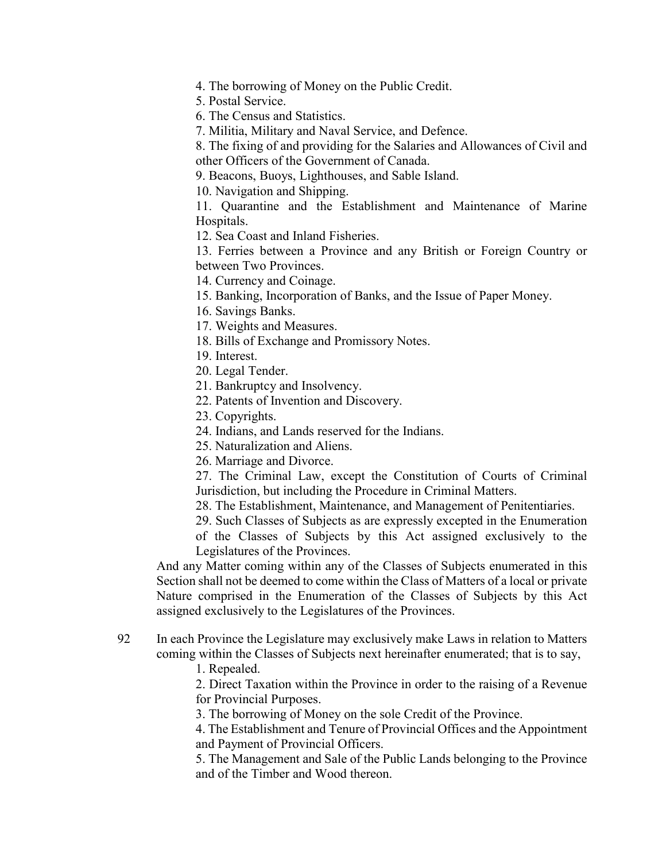4. The borrowing of Money on the Public Credit.

5. Postal Service.

6. The Census and Statistics.

7. Militia, Military and Naval Service, and Defence.

8. The fixing of and providing for the Salaries and Allowances of Civil and other Officers of the Government of Canada.

9. Beacons, Buoys, Lighthouses, and Sable Island.

10. Navigation and Shipping.

11. Quarantine and the Establishment and Maintenance of Marine Hospitals.

12. Sea Coast and Inland Fisheries.

13. Ferries between a Province and any British or Foreign Country or between Two Provinces.

14. Currency and Coinage.

15. Banking, Incorporation of Banks, and the Issue of Paper Money.

16. Savings Banks.

17. Weights and Measures.

18. Bills of Exchange and Promissory Notes.

19. Interest.

20. Legal Tender.

21. Bankruptcy and Insolvency.

22. Patents of Invention and Discovery.

23. Copyrights.

24. Indians, and Lands reserved for the Indians.

25. Naturalization and Aliens.

26. Marriage and Divorce.

27. The Criminal Law, except the Constitution of Courts of Criminal Jurisdiction, but including the Procedure in Criminal Matters.

28. The Establishment, Maintenance, and Management of Penitentiaries.

29. Such Classes of Subjects as are expressly excepted in the Enumeration

of the Classes of Subjects by this Act assigned exclusively to the Legislatures of the Provinces.

And any Matter coming within any of the Classes of Subjects enumerated in this Section shall not be deemed to come within the Class of Matters of a local or private Nature comprised in the Enumeration of the Classes of Subjects by this Act assigned exclusively to the Legislatures of the Provinces.

92 In each Province the Legislature may exclusively make Laws in relation to Matters coming within the Classes of Subjects next hereinafter enumerated; that is to say,

1. Repealed.

2. Direct Taxation within the Province in order to the raising of a Revenue for Provincial Purposes.

3. The borrowing of Money on the sole Credit of the Province.

4. The Establishment and Tenure of Provincial Offices and the Appointment and Payment of Provincial Officers.

5. The Management and Sale of the Public Lands belonging to the Province and of the Timber and Wood thereon.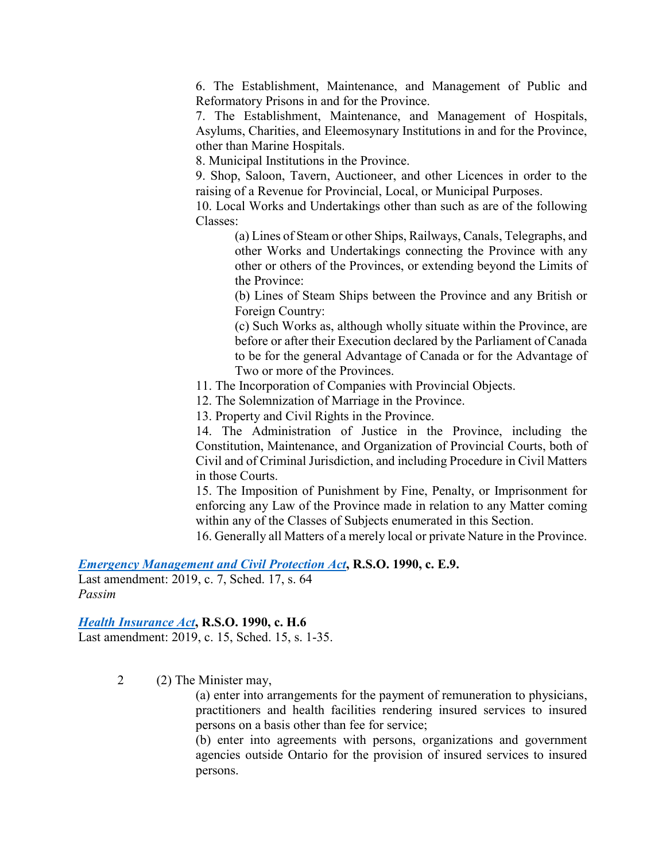6. The Establishment, Maintenance, and Management of Public and Reformatory Prisons in and for the Province.

7. The Establishment, Maintenance, and Management of Hospitals, Asylums, Charities, and Eleemosynary Institutions in and for the Province, other than Marine Hospitals.

8. Municipal Institutions in the Province.

9. Shop, Saloon, Tavern, Auctioneer, and other Licences in order to the raising of a Revenue for Provincial, Local, or Municipal Purposes.

10. Local Works and Undertakings other than such as are of the following Classes:

(a) Lines of Steam or other Ships, Railways, Canals, Telegraphs, and other Works and Undertakings connecting the Province with any other or others of the Provinces, or extending beyond the Limits of the Province:

(b) Lines of Steam Ships between the Province and any British or Foreign Country:

(c) Such Works as, although wholly situate within the Province, are before or after their Execution declared by the Parliament of Canada to be for the general Advantage of Canada or for the Advantage of Two or more of the Provinces.

11. The Incorporation of Companies with Provincial Objects.

12. The Solemnization of Marriage in the Province.

13. Property and Civil Rights in the Province.

14. The Administration of Justice in the Province, including the Constitution, Maintenance, and Organization of Provincial Courts, both of Civil and of Criminal Jurisdiction, and including Procedure in Civil Matters in those Courts.

15. The Imposition of Punishment by Fine, Penalty, or Imprisonment for enforcing any Law of the Province made in relation to any Matter coming within any of the Classes of Subjects enumerated in this Section.

16. Generally all Matters of a merely local or private Nature in the Province.

*[Emergency Management and Civil Protection Act](https://www.ontario.ca/laws/statute/90e09)***, R.S.O. 1990, c. E.9.**

Last amendment: 2019, c. 7, Sched. 17, s. 64 *Passim*

#### *[Health Insurance Act](https://www.ontario.ca/laws/statute/90h06)***, R.S.O. 1990, c. H.6**

Last amendment: 2019, c. 15, Sched. 15, s. 1-35.

2 (2) The Minister may,

(a) enter into arrangements for the payment of remuneration to physicians, practitioners and health facilities rendering insured services to insured persons on a basis other than fee for service;

(b) enter into agreements with persons, organizations and government agencies outside Ontario for the provision of insured services to insured persons.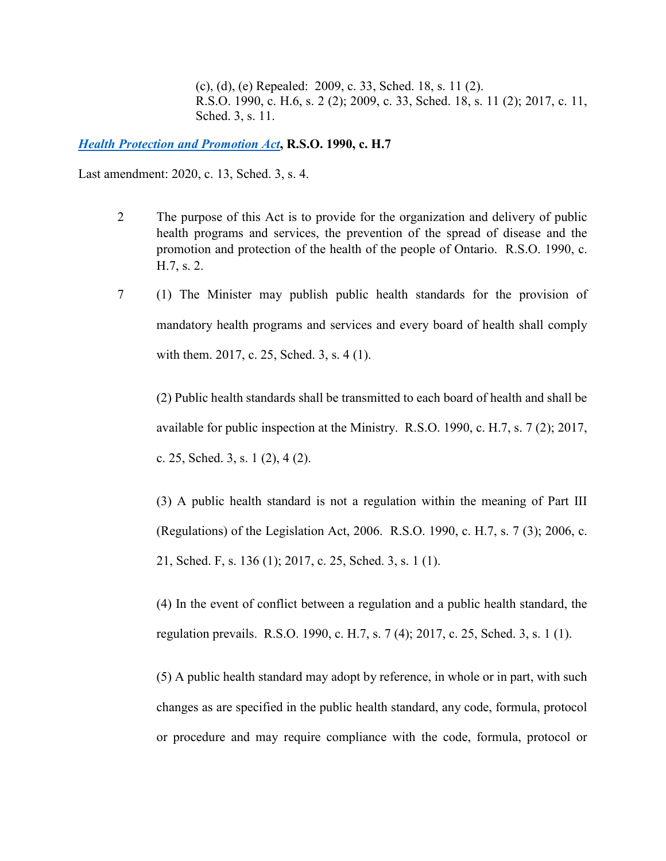(c), (d), (e) Repealed: 2009, c. 33, Sched. 18, s. 11 (2). R.S.O. 1990, c. H.6, s. 2 (2); 2009, c. 33, Sched. 18, s. 11 (2); 2017, c. 11, Sched. 3, s. 11.

*[Health Protection and Promotion Act](https://www.ontario.ca/laws/statute/90h07)***, R.S.O. 1990, c. H.7**

Last amendment: 2020, c. 13, Sched. 3, s. 4.

- 2 The purpose of this Act is to provide for the organization and delivery of public health programs and services, the prevention of the spread of disease and the promotion and protection of the health of the people of Ontario. R.S.O. 1990, c. H.7, s. 2.
- 7 (1) The Minister may publish public health standards for the provision of mandatory health programs and services and every board of health shall comply with them. 2017, c. 25, Sched. 3, s. 4 (1).

(2) Public health standards shall be transmitted to each board of health and shall be available for public inspection at the Ministry. R.S.O. 1990, c. H.7, s. 7 (2); 2017, c. 25, Sched. 3, s. 1 (2), 4 (2).

(3) A public health standard is not a regulation within the meaning of Part III (Regulations) of the Legislation Act, 2006. R.S.O. 1990, c. H.7, s. 7 (3); 2006, c. 21, Sched. F, s. 136 (1); 2017, c. 25, Sched. 3, s. 1 (1).

(4) In the event of conflict between a regulation and a public health standard, the regulation prevails. R.S.O. 1990, c. H.7, s. 7 (4); 2017, c. 25, Sched. 3, s. 1 (1).

(5) A public health standard may adopt by reference, in whole or in part, with such changes as are specified in the public health standard, any code, formula, protocol or procedure and may require compliance with the code, formula, protocol or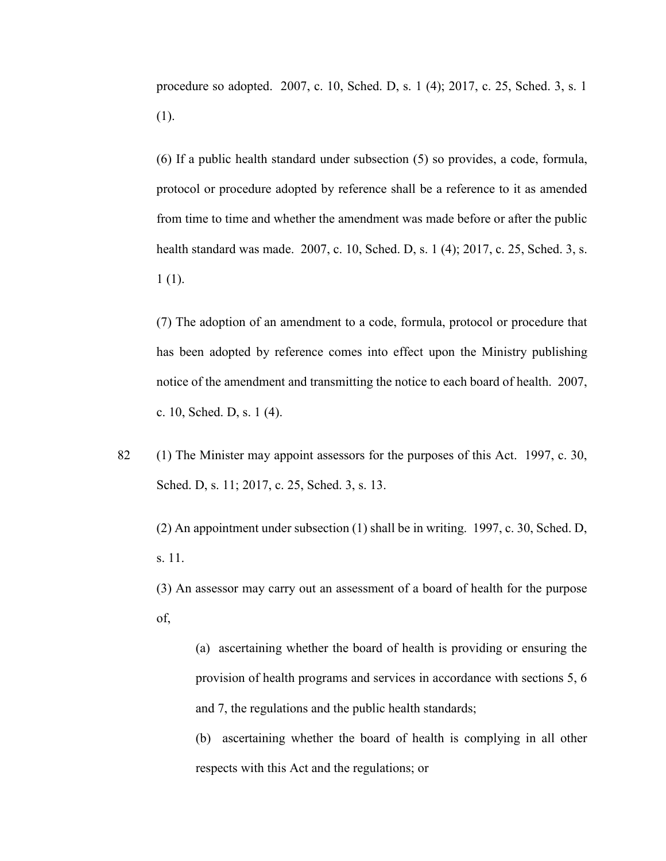procedure so adopted. 2007, c. 10, Sched. D, s. 1 (4); 2017, c. 25, Sched. 3, s. 1 (1).

(6) If a public health standard under subsection (5) so provides, a code, formula, protocol or procedure adopted by reference shall be a reference to it as amended from time to time and whether the amendment was made before or after the public health standard was made. 2007, c. 10, Sched. D, s. 1 (4); 2017, c. 25, Sched. 3, s. 1 (1).

(7) The adoption of an amendment to a code, formula, protocol or procedure that has been adopted by reference comes into effect upon the Ministry publishing notice of the amendment and transmitting the notice to each board of health. 2007, c. 10, Sched. D, s. 1 (4).

82 (1) The Minister may appoint assessors for the purposes of this Act. 1997, c. 30, Sched. D, s. 11; 2017, c. 25, Sched. 3, s. 13.

(2) An appointment under subsection (1) shall be in writing. 1997, c. 30, Sched. D, s. 11.

(3) An assessor may carry out an assessment of a board of health for the purpose of,

(a) ascertaining whether the board of health is providing or ensuring the provision of health programs and services in accordance with sections 5, 6 and 7, the regulations and the public health standards;

(b) ascertaining whether the board of health is complying in all other respects with this Act and the regulations; or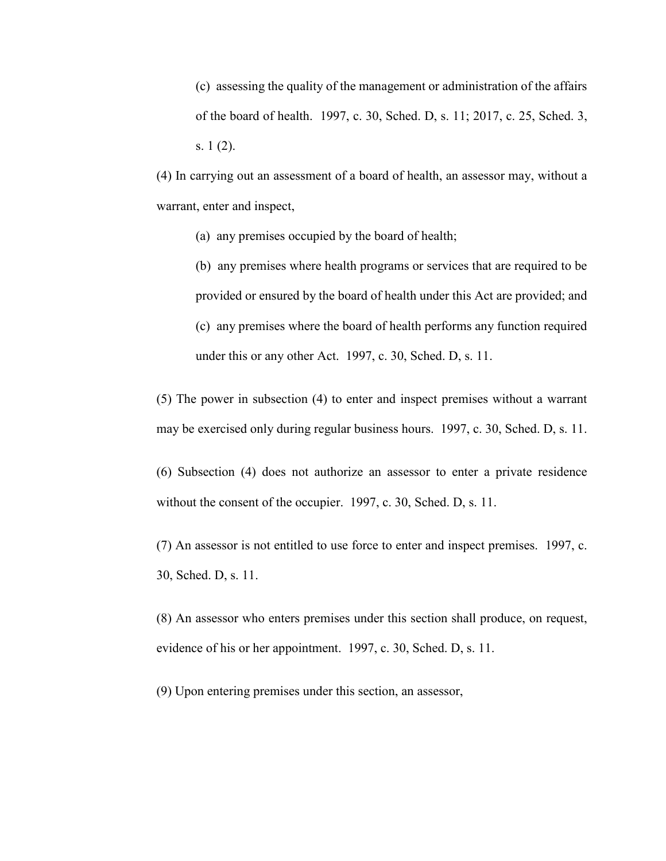(c) assessing the quality of the management or administration of the affairs of the board of health. 1997, c. 30, Sched. D, s. 11; 2017, c. 25, Sched. 3, s. 1 (2).

(4) In carrying out an assessment of a board of health, an assessor may, without a warrant, enter and inspect,

(a) any premises occupied by the board of health;

(b) any premises where health programs or services that are required to be provided or ensured by the board of health under this Act are provided; and (c) any premises where the board of health performs any function required under this or any other Act. 1997, c. 30, Sched. D, s. 11.

(5) The power in subsection (4) to enter and inspect premises without a warrant may be exercised only during regular business hours. 1997, c. 30, Sched. D, s. 11.

(6) Subsection (4) does not authorize an assessor to enter a private residence without the consent of the occupier. 1997, c. 30, Sched. D, s. 11.

(7) An assessor is not entitled to use force to enter and inspect premises. 1997, c. 30, Sched. D, s. 11.

(8) An assessor who enters premises under this section shall produce, on request, evidence of his or her appointment. 1997, c. 30, Sched. D, s. 11.

(9) Upon entering premises under this section, an assessor,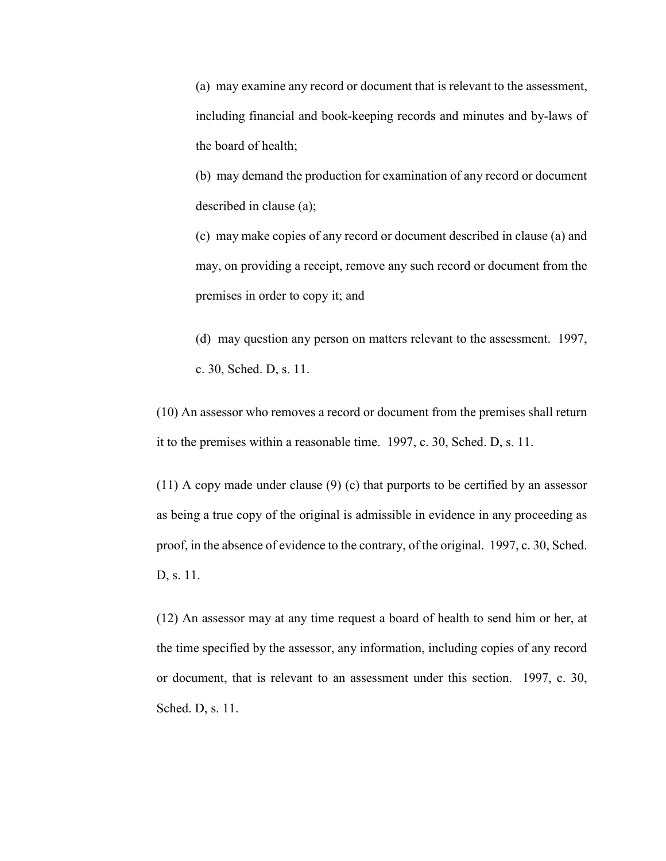(a) may examine any record or document that is relevant to the assessment, including financial and book-keeping records and minutes and by-laws of the board of health;

(b) may demand the production for examination of any record or document described in clause (a);

(c) may make copies of any record or document described in clause (a) and may, on providing a receipt, remove any such record or document from the premises in order to copy it; and

(d) may question any person on matters relevant to the assessment. 1997, c. 30, Sched. D, s. 11.

(10) An assessor who removes a record or document from the premises shall return it to the premises within a reasonable time. 1997, c. 30, Sched. D, s. 11.

(11) A copy made under clause (9) (c) that purports to be certified by an assessor as being a true copy of the original is admissible in evidence in any proceeding as proof, in the absence of evidence to the contrary, of the original. 1997, c. 30, Sched. D, s. 11.

(12) An assessor may at any time request a board of health to send him or her, at the time specified by the assessor, any information, including copies of any record or document, that is relevant to an assessment under this section. 1997, c. 30, Sched. D, s. 11.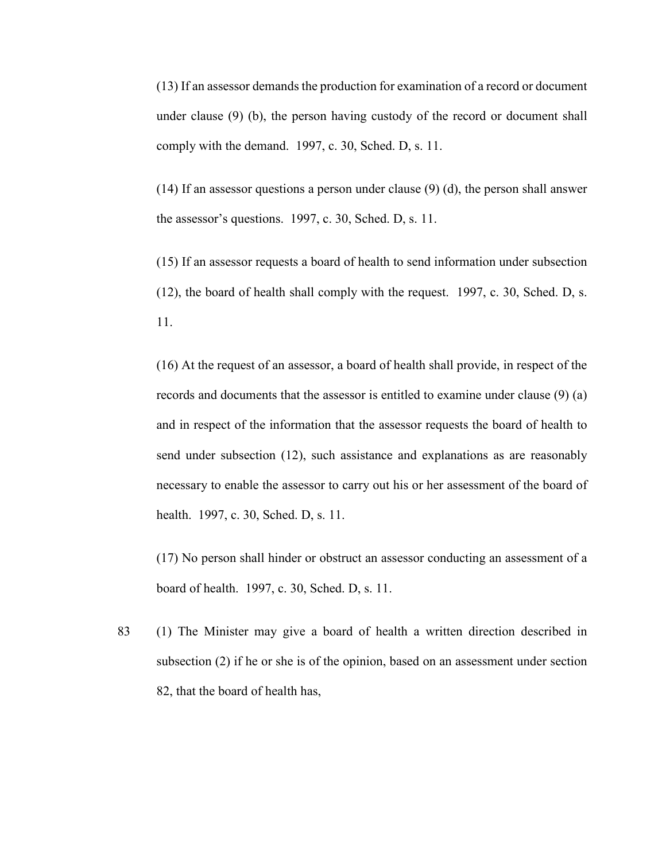(13) If an assessor demands the production for examination of a record or document under clause (9) (b), the person having custody of the record or document shall comply with the demand. 1997, c. 30, Sched. D, s. 11.

(14) If an assessor questions a person under clause (9) (d), the person shall answer the assessor's questions. 1997, c. 30, Sched. D, s. 11.

(15) If an assessor requests a board of health to send information under subsection (12), the board of health shall comply with the request. 1997, c. 30, Sched. D, s. 11.

(16) At the request of an assessor, a board of health shall provide, in respect of the records and documents that the assessor is entitled to examine under clause (9) (a) and in respect of the information that the assessor requests the board of health to send under subsection (12), such assistance and explanations as are reasonably necessary to enable the assessor to carry out his or her assessment of the board of health. 1997, c. 30, Sched. D, s. 11.

(17) No person shall hinder or obstruct an assessor conducting an assessment of a board of health. 1997, c. 30, Sched. D, s. 11.

83 (1) The Minister may give a board of health a written direction described in subsection (2) if he or she is of the opinion, based on an assessment under section 82, that the board of health has,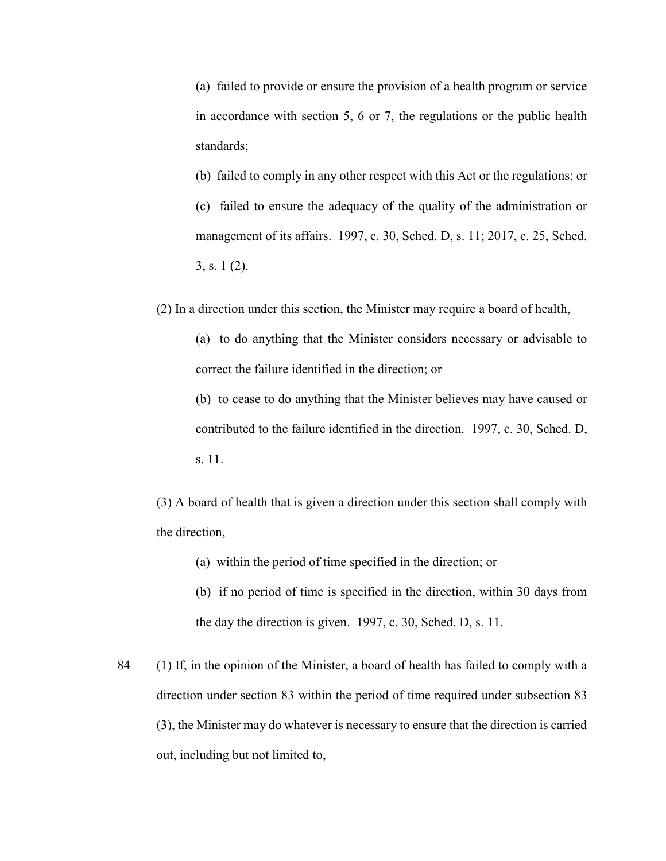(a) failed to provide or ensure the provision of a health program or service in accordance with section 5, 6 or 7, the regulations or the public health standards;

(b) failed to comply in any other respect with this Act or the regulations; or

(c) failed to ensure the adequacy of the quality of the administration or management of its affairs. 1997, c. 30, Sched. D, s. 11; 2017, c. 25, Sched. 3, s. 1 (2).

(2) In a direction under this section, the Minister may require a board of health,

(a) to do anything that the Minister considers necessary or advisable to correct the failure identified in the direction; or

(b) to cease to do anything that the Minister believes may have caused or contributed to the failure identified in the direction. 1997, c. 30, Sched. D, s. 11.

(3) A board of health that is given a direction under this section shall comply with the direction,

(a) within the period of time specified in the direction; or

(b) if no period of time is specified in the direction, within 30 days from the day the direction is given. 1997, c. 30, Sched. D, s. 11.

84 (1) If, in the opinion of the Minister, a board of health has failed to comply with a direction under section 83 within the period of time required under subsection 83 (3), the Minister may do whatever is necessary to ensure that the direction is carried out, including but not limited to,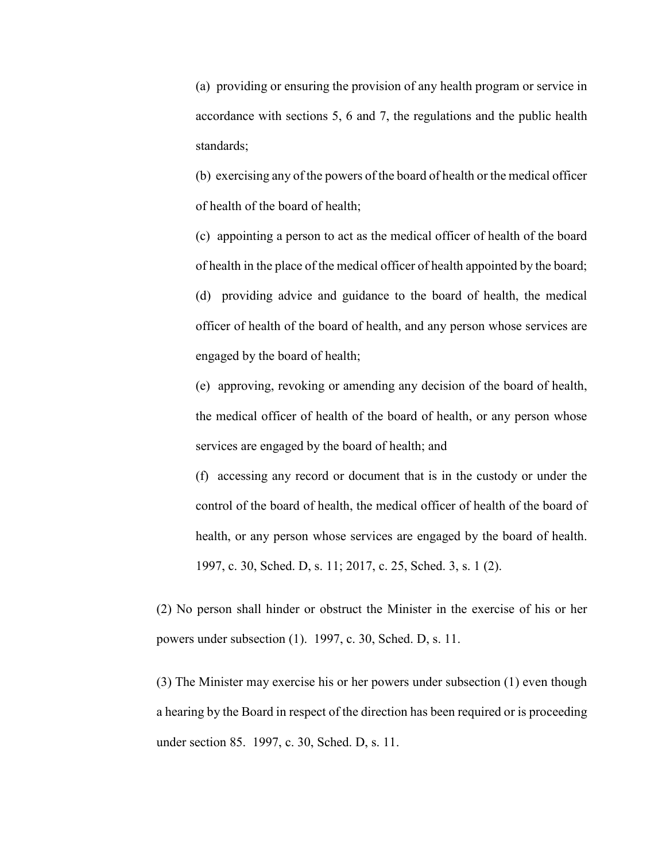(a) providing or ensuring the provision of any health program or service in accordance with sections 5, 6 and 7, the regulations and the public health standards;

(b) exercising any of the powers of the board of health or the medical officer of health of the board of health;

(c) appointing a person to act as the medical officer of health of the board of health in the place of the medical officer of health appointed by the board; (d) providing advice and guidance to the board of health, the medical officer of health of the board of health, and any person whose services are engaged by the board of health;

(e) approving, revoking or amending any decision of the board of health, the medical officer of health of the board of health, or any person whose services are engaged by the board of health; and

(f) accessing any record or document that is in the custody or under the control of the board of health, the medical officer of health of the board of health, or any person whose services are engaged by the board of health. 1997, c. 30, Sched. D, s. 11; 2017, c. 25, Sched. 3, s. 1 (2).

(2) No person shall hinder or obstruct the Minister in the exercise of his or her powers under subsection (1). 1997, c. 30, Sched. D, s. 11.

(3) The Minister may exercise his or her powers under subsection (1) even though a hearing by the Board in respect of the direction has been required or is proceeding under section 85. 1997, c. 30, Sched. D, s. 11.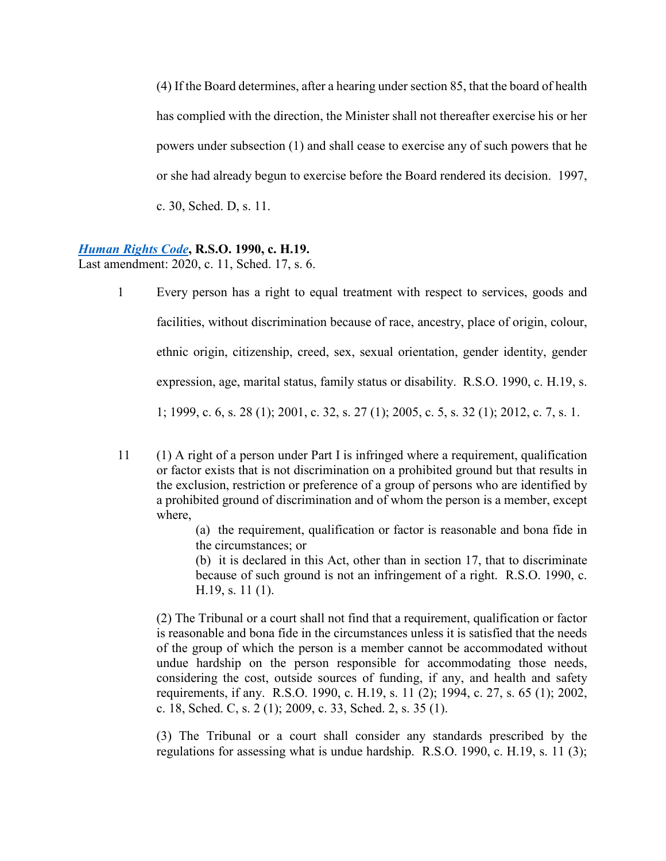(4) If the Board determines, after a hearing under section 85, that the board of health has complied with the direction, the Minister shall not thereafter exercise his or her powers under subsection (1) and shall cease to exercise any of such powers that he or she had already begun to exercise before the Board rendered its decision. 1997, c. 30, Sched. D, s. 11.

#### *[Human Rights Code](https://www.ontario.ca/laws/statute/90h19)***, R.S.O. 1990, c. H.19.**

Last amendment: 2020, c. 11, Sched. 17, s. 6.

- 1 Every person has a right to equal treatment with respect to services, goods and facilities, without discrimination because of race, ancestry, place of origin, colour, ethnic origin, citizenship, creed, sex, sexual orientation, gender identity, gender expression, age, marital status, family status or disability. R.S.O. 1990, c. H.19, s. 1; 1999, c. 6, s. 28 (1); 2001, c. 32, s. 27 (1); 2005, c. 5, s. 32 (1); 2012, c. 7, s. 1.
- 11 (1) A right of a person under Part I is infringed where a requirement, qualification or factor exists that is not discrimination on a prohibited ground but that results in the exclusion, restriction or preference of a group of persons who are identified by a prohibited ground of discrimination and of whom the person is a member, except where,

(a) the requirement, qualification or factor is reasonable and bona fide in the circumstances; or

(b) it is declared in this Act, other than in section 17, that to discriminate because of such ground is not an infringement of a right. R.S.O. 1990, c. H.19, s. 11 (1).

(2) The Tribunal or a court shall not find that a requirement, qualification or factor is reasonable and bona fide in the circumstances unless it is satisfied that the needs of the group of which the person is a member cannot be accommodated without undue hardship on the person responsible for accommodating those needs, considering the cost, outside sources of funding, if any, and health and safety requirements, if any. R.S.O. 1990, c. H.19, s. 11 (2); 1994, c. 27, s. 65 (1); 2002, c. 18, Sched. C, s. 2 (1); 2009, c. 33, Sched. 2, s. 35 (1).

(3) The Tribunal or a court shall consider any standards prescribed by the regulations for assessing what is undue hardship. R.S.O. 1990, c. H.19, s. 11 (3);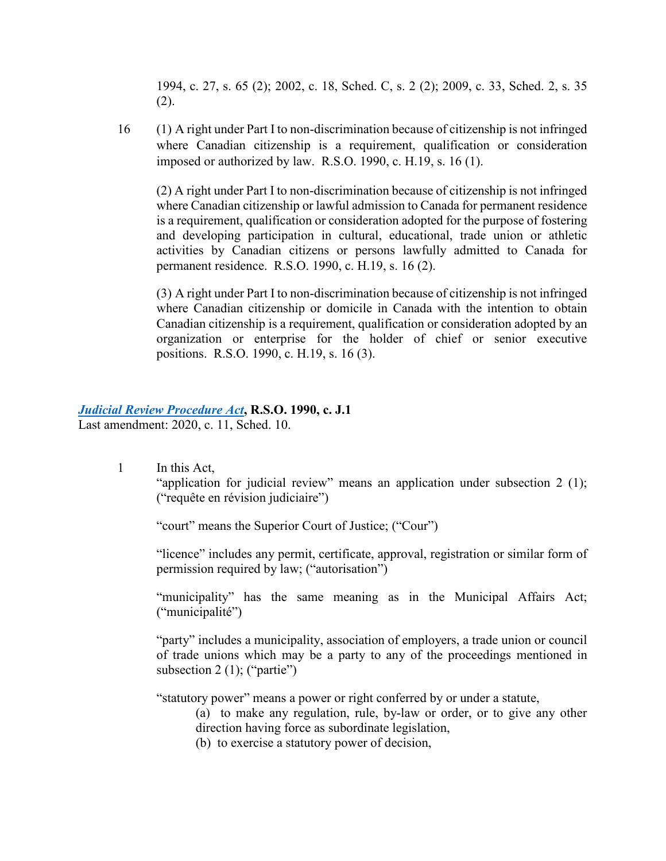1994, c. 27, s. 65 (2); 2002, c. 18, Sched. C, s. 2 (2); 2009, c. 33, Sched. 2, s. 35 (2).

16 (1) A right under Part I to non-discrimination because of citizenship is not infringed where Canadian citizenship is a requirement, qualification or consideration imposed or authorized by law. R.S.O. 1990, c. H.19, s. 16 (1).

(2) A right under Part I to non-discrimination because of citizenship is not infringed where Canadian citizenship or lawful admission to Canada for permanent residence is a requirement, qualification or consideration adopted for the purpose of fostering and developing participation in cultural, educational, trade union or athletic activities by Canadian citizens or persons lawfully admitted to Canada for permanent residence. R.S.O. 1990, c. H.19, s. 16 (2).

(3) A right under Part I to non-discrimination because of citizenship is not infringed where Canadian citizenship or domicile in Canada with the intention to obtain Canadian citizenship is a requirement, qualification or consideration adopted by an organization or enterprise for the holder of chief or senior executive positions. R.S.O. 1990, c. H.19, s. 16 (3).

### *[Judicial Review Procedure Act](https://www.ontario.ca/laws/statute/90j01)***, R.S.O. 1990, c. J.1**

Last amendment: 2020, c. 11, Sched. 10.

1 In this Act, "application for judicial review" means an application under subsection 2 (1); ("requête en révision judiciaire")

"court" means the Superior Court of Justice; ("Cour")

"licence" includes any permit, certificate, approval, registration or similar form of permission required by law; ("autorisation")

"municipality" has the same meaning as in the Municipal Affairs Act; ("municipalité")

"party" includes a municipality, association of employers, a trade union or council of trade unions which may be a party to any of the proceedings mentioned in subsection 2 (1); ("partie")

"statutory power" means a power or right conferred by or under a statute,

(a) to make any regulation, rule, by-law or order, or to give any other direction having force as subordinate legislation,

(b) to exercise a statutory power of decision,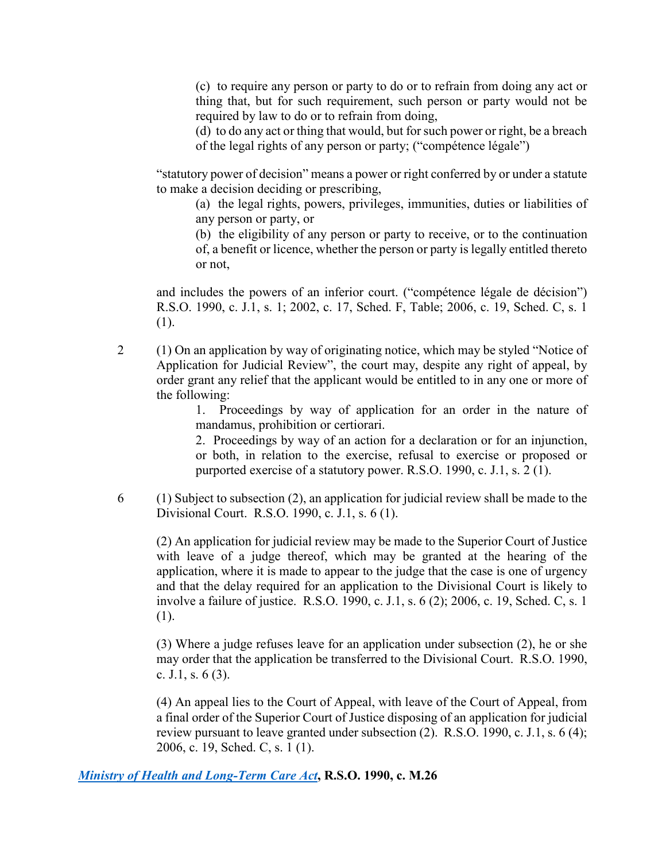(c) to require any person or party to do or to refrain from doing any act or thing that, but for such requirement, such person or party would not be required by law to do or to refrain from doing,

(d) to do any act or thing that would, but for such power or right, be a breach of the legal rights of any person or party; ("compétence légale")

"statutory power of decision" means a power or right conferred by or under a statute to make a decision deciding or prescribing,

(a) the legal rights, powers, privileges, immunities, duties or liabilities of any person or party, or

(b) the eligibility of any person or party to receive, or to the continuation of, a benefit or licence, whether the person or party is legally entitled thereto or not,

and includes the powers of an inferior court. ("compétence légale de décision") R.S.O. 1990, c. J.1, s. 1; 2002, c. 17, Sched. F, Table; 2006, c. 19, Sched. C, s. 1 (1).

2 (1) On an application by way of originating notice, which may be styled "Notice of Application for Judicial Review", the court may, despite any right of appeal, by order grant any relief that the applicant would be entitled to in any one or more of the following:

> 1. Proceedings by way of application for an order in the nature of mandamus, prohibition or certiorari.

> 2. Proceedings by way of an action for a declaration or for an injunction, or both, in relation to the exercise, refusal to exercise or proposed or purported exercise of a statutory power. R.S.O. 1990, c. J.1, s. 2 (1).

 $6 \qquad (1)$  Subject to subsection (2), an application for judicial review shall be made to the Divisional Court. R.S.O. 1990, c. J.1, s. 6 (1).

(2) An application for judicial review may be made to the Superior Court of Justice with leave of a judge thereof, which may be granted at the hearing of the application, where it is made to appear to the judge that the case is one of urgency and that the delay required for an application to the Divisional Court is likely to involve a failure of justice. R.S.O. 1990, c. J.1, s. 6 (2); 2006, c. 19, Sched. C, s. 1 (1).

(3) Where a judge refuses leave for an application under subsection (2), he or she may order that the application be transferred to the Divisional Court. R.S.O. 1990, c. J.1, s. 6 (3).

(4) An appeal lies to the Court of Appeal, with leave of the Court of Appeal, from a final order of the Superior Court of Justice disposing of an application for judicial review pursuant to leave granted under subsection (2). R.S.O. 1990, c. J.1, s. 6 (4); 2006, c. 19, Sched. C, s. 1 (1).

#### *[Ministry of Health and Long-Term Care Act](https://www.ontario.ca/laws/statute/90m26)***, R.S.O. 1990, c. M.26**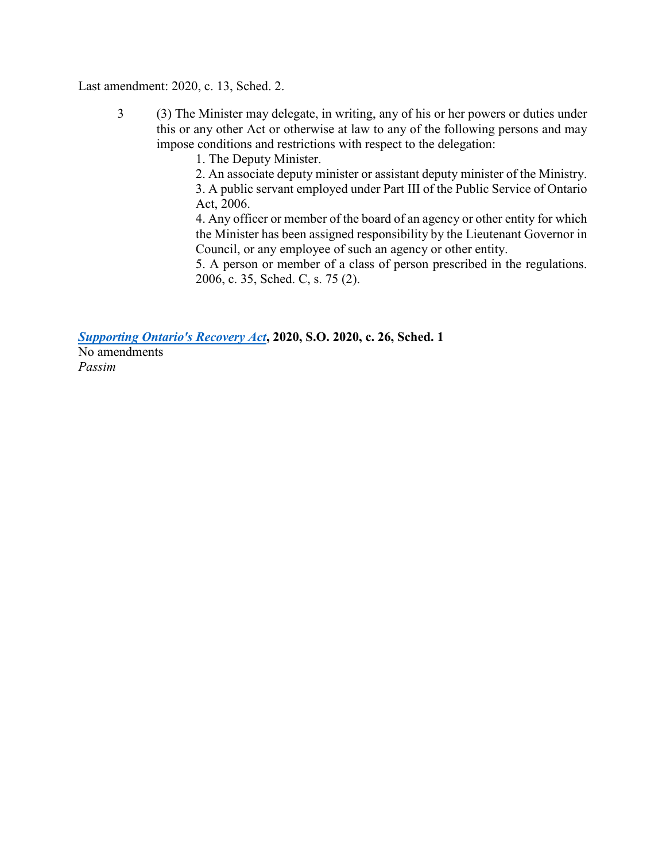#### Last amendment: 2020, c. 13, Sched. 2.

3 (3) The Minister may delegate, in writing, any of his or her powers or duties under this or any other Act or otherwise at law to any of the following persons and may impose conditions and restrictions with respect to the delegation:

1. The Deputy Minister.

2. An associate deputy minister or assistant deputy minister of the Ministry.

3. A public servant employed under Part III of the Public Service of Ontario Act, 2006.

4. Any officer or member of the board of an agency or other entity for which the Minister has been assigned responsibility by the Lieutenant Governor in Council, or any employee of such an agency or other entity.

5. A person or member of a class of person prescribed in the regulations. 2006, c. 35, Sched. C, s. 75 (2).

*[Supporting Ontario's Recovery Act](https://www.ontario.ca/laws/statute/20s26)***, 2020, S.O. 2020, c. 26, Sched. 1**

No amendments *Passim*